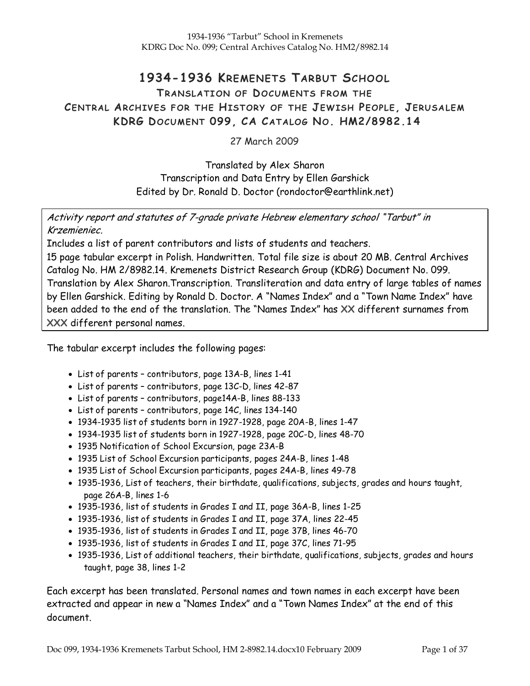# 1934-1936 KREMENETS TARBUT SCHOOL

## TRANSLATION OF DOCUMENTS FROM THE CENTRAL ARCHIVES FOR THE HISTORY OF THE JEWISH PEOPLE, JERUSALEM KDRG DOCUMENT 099, CA CATALOG NO. HM2/8982.14

27 March 2009

Translated by Alex Sharon Transcription and Data Entry by Ellen Garshick Edited by Dr. Ronald D. Doctor (rondoctor@earthlink.net)

Activity report and statutes of 7-grade private Hebrew elementary school "Tarbut" in Krzemieniec.

Includes a list of parent contributors and lists of students and teachers.

15 page tabular excerpt in Polish. Handwritten. Total file size is about 20 MB. Central Archives Catalog No. HM 2/8982.14. Kremenets District Research Group (KDRG) Document No. 099. Translation by Alex Sharon.Transcription. Transliteration and data entry of large tables of names by Ellen Garshick. Editing by Ronald D. Doctor. A "Names Index" and a "Town Name Index" have been added to the end of the translation. The "Names Index" has XX different surnames from XXX different personal names.

The tabular excerpt includes the following pages:

- List of parents contributors, page 13A-B, lines 1-41
- List of parents contributors, page 13C-D, lines 42-87
- List of parents contributors, page14A-B, lines 88-133
- List of parents contributors, page 14C, lines 134-140
- 1934-1935 list of students born in 1927-1928, page 20A-B, lines 1-47
- 1934-1935 list of students born in 1927-1928, page 20C-D, lines 48-70
- 1935 Notification of School Excursion, page 23A-B
- 1935 List of School Excursion participants, pages 24A-B, lines 1-48
- 1935 List of School Excursion participants, pages 24A-B, lines 49-78
- 1935-1936, List of teachers, their birthdate, qualifications, subjects, grades and hours taught, page 26A-B, lines 1-6
- 1935-1936, list of students in Grades I and II, page 36A-B, lines 1-25
- 1935-1936, list of students in Grades I and II, page 37A, lines 22-45
- 1935-1936, list of students in Grades I and II, page 37B, lines 46-70
- 1935-1936, list of students in Grades I and II, page 37C, lines 71-95
- 1935-1936, List of additional teachers, their birthdate, qualifications, subjects, grades and hours taught, page 38, lines 1-2

Each excerpt has been translated. Personal names and town names in each excerpt have been extracted and appear in new a "Names Index" and a "Town Names Index" at the end of this document.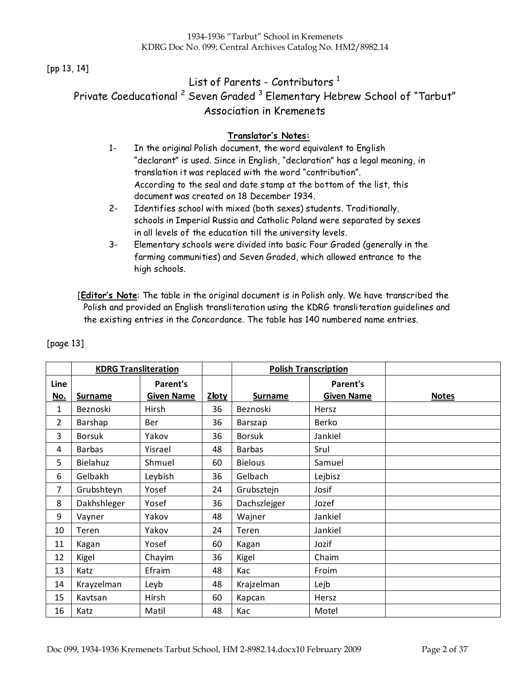#### [pp 13, 14]

# List of Parents - Contributors<sup>1</sup> Private Coeducational <sup>2</sup> Seven Graded <sup>3</sup> Elementary Hebrew School of "Tarbut" Association in Kremenets

#### Translator's Notes:

- 1- In the original Polish document, the word equivalent to English "declarant" is used. Since in English, "declaration" has a legal meaning, in translation it was replaced with the word "contribution". According to the seal and date stamp at the bottom of the list, this document was created on 18 December 1934.
- 2- Identifies school with mixed (both sexes) students. Traditionally, schools in Imperial Russia and Catholic Poland were separated by sexes in all levels of the education till the university levels.
- 3- Elementary schools were divided into basic Four Graded (generally in the farming communities) and Seven Graded, which allowed entrance to the high schools.

[Editor's Note: The table in the original document is in Polish only. We have transcribed the Polish and provided an English transliteration using the KDRG transliteration guidelines and the existing entries in the Concordance. The table has 140 numbered name entries.

|            | <b>KDRG Transliteration</b> |                   |              |                | <b>Polish Transcription</b> |              |
|------------|-----------------------------|-------------------|--------------|----------------|-----------------------------|--------------|
| Line       |                             | Parent's          |              |                | Parent's                    |              |
| <u>No.</u> | <b>Surname</b>              | <b>Given Name</b> | <u>Złoty</u> | <b>Surname</b> | <b>Given Name</b>           | <b>Notes</b> |
| 1          | Beznoski                    | Hirsh             | 36           | Beznoski       | Hersz                       |              |
| 2          | Barshap                     | <b>Ber</b>        | 36           | Barszap        | Berko                       |              |
| 3          | <b>Borsuk</b>               | Yakov             | 36           | <b>Borsuk</b>  | Jankiel                     |              |
| 4          | <b>Barbas</b>               | Yisrael           | 48           | <b>Barbas</b>  | Srul                        |              |
| 5          | Bielahuz                    | Shmuel            | 60           | <b>Bielous</b> | Samuel                      |              |
| 6          | Gelbakh                     | Leybish           | 36           | Gelbach        | Lejbisz                     |              |
| 7          | Grubshteyn                  | Yosef             | 24           | Grubsztejn     | Josif                       |              |
| 8          | Dakhshleger                 | Yosef             | 36           | Dachszlejger   | Jozef                       |              |
| 9          | Vayner                      | Yakov             | 48           | Wajner         | Jankiel                     |              |
| 10         | Teren                       | Yakov             | 24           | Teren          | Jankiel                     |              |
| 11         | Kagan                       | Yosef             | 60           | Kagan          | Jozif                       |              |
| 12         | Kigel                       | Chayim            | 36           | Kigel          | Chaim                       |              |
| 13         | Katz                        | Efraim            | 48           | Kac            | Froim                       |              |
| 14         | Krayzelman                  | Leyb              | 48           | Krajzelman     | Lejb                        |              |
| 15         | Kavtsan                     | Hirsh             | 60           | Kapcan         | Hersz                       |              |
| 16         | Katz                        | Matil             | 48           | Kac            | Motel                       |              |

[page 13]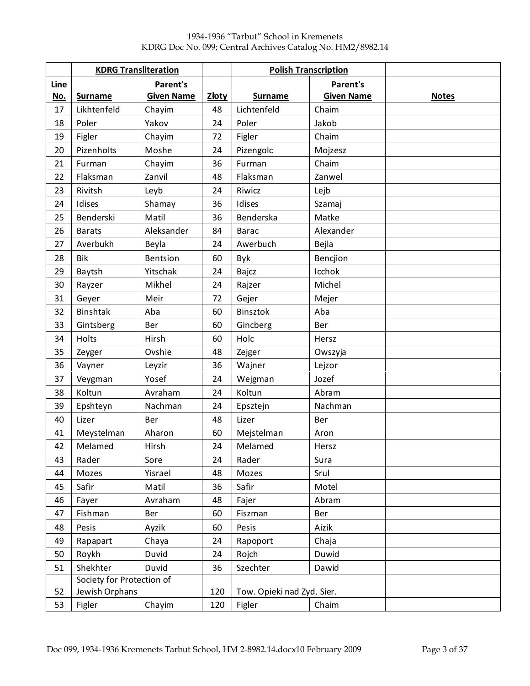|            | <b>KDRG Transliteration</b> |                   |              | <b>Polish Transcription</b> |                   |              |
|------------|-----------------------------|-------------------|--------------|-----------------------------|-------------------|--------------|
| Line       |                             | <b>Parent's</b>   |              |                             | <b>Parent's</b>   |              |
| <u>No.</u> | <b>Surname</b>              | <b>Given Name</b> | <b>Złoty</b> | <b>Surname</b>              | <b>Given Name</b> | <b>Notes</b> |
| 17         | Likhtenfeld                 | Chayim            | 48           | Lichtenfeld                 | Chaim             |              |
| 18         | Poler                       | Yakov             | 24           | Poler                       | Jakob             |              |
| 19         | Figler                      | Chayim            | 72           | Figler                      | Chaim             |              |
| 20         | Pizenholts                  | Moshe             | 24           | Pizengolc                   | Mojzesz           |              |
| 21         | Furman                      | Chayim            | 36           | Furman                      | Chaim             |              |
| 22         | Flaksman                    | Zanvil            | 48           | Flaksman                    | Zanwel            |              |
| 23         | Rivitsh                     | Leyb              | 24           | Riwicz                      | Lejb              |              |
| 24         | Idises                      | Shamay            | 36           | Idises                      | Szamaj            |              |
| 25         | Benderski                   | Matil             | 36           | Benderska                   | Matke             |              |
| 26         | <b>Barats</b>               | Aleksander        | 84           | <b>Barac</b>                | Alexander         |              |
| 27         | Averbukh                    | Beyla             | 24           | Awerbuch                    | Bejla             |              |
| 28         | <b>Bik</b>                  | <b>Bentsion</b>   | 60           | Byk                         | Bencjion          |              |
| 29         | Baytsh                      | Yitschak          | 24           | Bajcz                       | Icchok            |              |
| 30         | Rayzer                      | Mikhel            | 24           | Rajzer                      | Michel            |              |
| 31         | Geyer                       | Meir              | 72           | Gejer                       | Mejer             |              |
| 32         | <b>Binshtak</b>             | Aba               | 60           | Binsztok                    | Aba               |              |
| 33         | Gintsberg                   | Ber               | 60           | Gincberg                    | Ber               |              |
| 34         | Holts                       | Hirsh             | 60           | Holc                        | Hersz             |              |
| 35         | Zeyger                      | Ovshie            | 48           | Zejger                      | Owszyja           |              |
| 36         | Vayner                      | Leyzir            | 36           | Wajner                      | Lejzor            |              |
| 37         | Veygman                     | Yosef             | 24           | Wejgman                     | Jozef             |              |
| 38         | Koltun                      | Avraham           | 24           | Koltun                      | Abram             |              |
| 39         | Epshteyn                    | Nachman           | 24           | Epsztejn                    | Nachman           |              |
| 40         | Lizer                       | Ber               | 48           | Lizer                       | Ber               |              |
| 41         | Meystelman                  | Aharon            | 60           | Mejstelman                  | Aron              |              |
| 42         | Melamed                     | Hirsh             | 24           | Melamed                     | Hersz             |              |
| 43         | Rader                       | Sore              | 24           | Rader                       | Sura              |              |
| 44         | Mozes                       | Yisrael           | 48           | Mozes                       | Srul              |              |
| 45         | Safir                       | Matil             | 36           | Safir                       | Motel             |              |
| 46         | Fayer                       | Avraham           | 48           | Fajer                       | Abram             |              |
| 47         | Fishman                     | Ber               | 60           | Fiszman                     | Ber               |              |
| 48         | Pesis                       | Ayzik             | 60           | Pesis                       | Aizik             |              |
| 49         | Rapapart                    | Chaya             | 24           | Rapoport                    | Chaja             |              |
| 50         | Roykh                       | Duvid             | 24           | Rojch                       | Duwid             |              |
| 51         | Shekhter                    | Duvid             | 36           | Szechter                    | Dawid             |              |
|            | Society for Protection of   |                   |              |                             |                   |              |
| 52         | Jewish Orphans              |                   | 120          | Tow. Opieki nad Zyd. Sier.  |                   |              |
| 53         | Figler                      | Chayim            | 120          | Figler                      | Chaim             |              |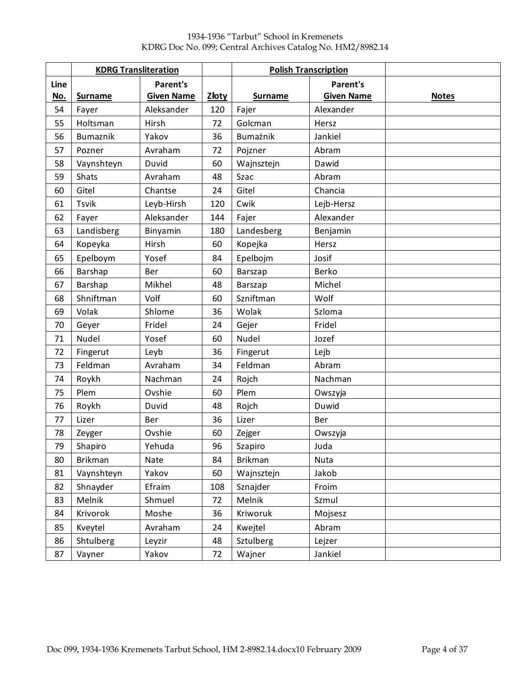|      | <b>KDRG Transliteration</b> |                   |              |                  | <b>Polish Transcription</b> |              |
|------|-----------------------------|-------------------|--------------|------------------|-----------------------------|--------------|
| Line |                             | Parent's          |              |                  | <b>Parent's</b>             |              |
| No.  | <b>Surname</b>              | <b>Given Name</b> | <b>Złoty</b> | <b>Surname</b>   | <b>Given Name</b>           | <b>Notes</b> |
| 54   | Fayer                       | Aleksander        | 120          | Fajer            | Alexander                   |              |
| 55   | Holtsman                    | Hirsh             | 72           | Golcman          | Hersz                       |              |
| 56   | Bumaznik                    | Yakov             | 36           | Bumażnik         | Jankiel                     |              |
| 57   | Pozner                      | Avraham           | 72           | Pojzner          | Abram                       |              |
| 58   | Vaynshteyn                  | Duvid             | 60           | Wajnsztejn       | Dawid                       |              |
| 59   | Shats                       | Avraham           | 48           | Szac             | Abram                       |              |
| 60   | Gitel                       | Chantse           | 24           | Gitel            | Chancia                     |              |
| 61   | <b>Tsvik</b>                | Leyb-Hirsh        | 120          | Cwik             | Lejb-Hersz                  |              |
| 62   | Fayer                       | Aleksander        | 144          | Fajer            | Alexander                   |              |
| 63   | Landisberg                  | Binyamin          | 180          | Landesberg       | Benjamin                    |              |
| 64   | Kopeyka                     | Hirsh             | 60           | Kopejka          | Hersz                       |              |
| 65   | Epelboym                    | Yosef             | 84           | Epelbojm         | Josif                       |              |
| 66   | Barshap                     | Ber               | 60           | Barszap          | Berko                       |              |
| 67   | Barshap                     | Mikhel            | 48           | Barszap          | Michel                      |              |
| 68   | Shniftman                   | Volf              | 60           | Szniftman        | Wolf                        |              |
| 69   | Volak                       | Shlome            | 36           | Wolak            | Szloma                      |              |
| 70   | Geyer                       | Fridel            | 24           | Gejer            | Fridel                      |              |
| 71   | Nudel                       | Yosef             | 60           | Nudel            | Jozef                       |              |
| 72   | Fingerut                    | Leyb              | 36           | Fingerut         | Lejb                        |              |
| 73   | Feldman                     | Avraham           | 34           | Feldman          | Abram                       |              |
| 74   | Roykh                       | Nachman           | 24           | Rojch            | Nachman                     |              |
| 75   | Plem                        | Ovshie            | 60           | Plem             | Owszyja                     |              |
| 76   | Roykh                       | Duvid             | 48           | Rojch            | Duwid                       |              |
| 77   | Lizer                       | Ber               | 36           | Lizer            | Ber                         |              |
| 78   | Zeyger                      | Ovshie            | 60           | Zejger           | Owszyja                     |              |
| 79   | Shapiro                     | Yehuda            | 96           | Szapiro          | Juda                        |              |
| 80   | Brikman                     | Nate              | 84           | <b>Brikman</b>   | Nuta                        |              |
| 81   | Vaynshteyn                  | Yakov             | 60           | Wajnsztejn       | Jakob                       |              |
| 82   | Shnayder                    | Efraim            | 108          | Sznajder         | Froim                       |              |
| 83   | Melnik                      | Shmuel            | 72           | Melnik           | Szmul                       |              |
| 84   | Krivorok                    | Moshe             | 36           | Kriworuk         | Mojsesz                     |              |
| 85   | Kveytel                     | Avraham           | 24           | Kwejtel          | Abram                       |              |
| 86   | Shtulberg                   | Leyzir            | 48           | <b>Sztulberg</b> | Lejzer                      |              |
| 87   | Vayner                      | Yakov             | 72           | Wajner           | Jankiel                     |              |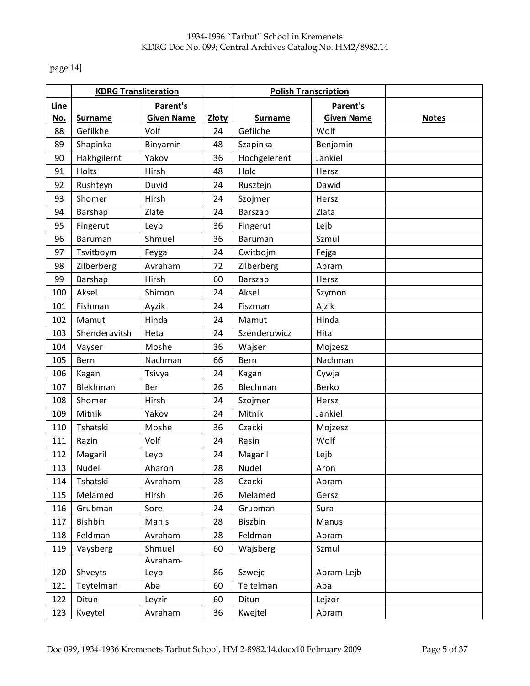[page 14]

|      | <b>KDRG Transliteration</b> |                   |       |                | <b>Polish Transcription</b> |              |
|------|-----------------------------|-------------------|-------|----------------|-----------------------------|--------------|
| Line |                             | Parent's          |       |                | <b>Parent's</b>             |              |
| No.  | <b>Surname</b>              | <b>Given Name</b> | Złoty | <b>Surname</b> | <b>Given Name</b>           | <b>Notes</b> |
| 88   | Gefilkhe                    | Volf              | 24    | Gefilche       | Wolf                        |              |
| 89   | Shapinka                    | Binyamin          | 48    | Szapinka       | Benjamin                    |              |
| 90   | Hakhgilernt                 | Yakov             | 36    | Hochgelerent   | Jankiel                     |              |
| 91   | Holts                       | Hirsh             | 48    | Holc           | Hersz                       |              |
| 92   | Rushteyn                    | Duvid             | 24    | Rusztejn       | Dawid                       |              |
| 93   | Shomer                      | Hirsh             | 24    | Szojmer        | Hersz                       |              |
| 94   | Barshap                     | Zlate             | 24    | Barszap        | Zlata                       |              |
| 95   | Fingerut                    | Leyb              | 36    | Fingerut       | Lejb                        |              |
| 96   | <b>Baruman</b>              | Shmuel            | 36    | Baruman        | Szmul                       |              |
| 97   | Tsvitboym                   | Feyga             | 24    | Cwitbojm       | Fejga                       |              |
| 98   | Zilberberg                  | Avraham           | 72    | Zilberberg     | Abram                       |              |
| 99   | Barshap                     | Hirsh             | 60    | Barszap        | Hersz                       |              |
| 100  | Aksel                       | Shimon            | 24    | Aksel          | Szymon                      |              |
| 101  | Fishman                     | Ayzik             | 24    | Fiszman        | Ajzik                       |              |
| 102  | Mamut                       | Hinda             | 24    | Mamut          | Hinda                       |              |
| 103  | Shenderavitsh               | Heta              | 24    | Szenderowicz   | Hita                        |              |
| 104  | Vayser                      | Moshe             | 36    | Wajser         | Mojzesz                     |              |
| 105  | Bern                        | Nachman           | 66    | Bern           | Nachman                     |              |
| 106  | Kagan                       | Tsivya            | 24    | Kagan          | Cywja                       |              |
| 107  | Blekhman                    | Ber               | 26    | Blechman       | Berko                       |              |
| 108  | Shomer                      | Hirsh             | 24    | Szojmer        | Hersz                       |              |
| 109  | Mitnik                      | Yakov             | 24    | Mitnik         | Jankiel                     |              |
| 110  | Tshatski                    | Moshe             | 36    | Czacki         | Mojzesz                     |              |
| 111  | Razin                       | Volf              | 24    | Rasin          | Wolf                        |              |
| 112  | Magaril                     | Leyb              | 24    | Magaril        | Lejb                        |              |
| 113  | Nudel                       | Aharon            | 28    | Nudel          | Aron                        |              |
| 114  | Tshatski                    | Avraham           | 28    | Czacki         | Abram                       |              |
| 115  | Melamed                     | Hirsh             | 26    | Melamed        | Gersz                       |              |
| 116  | Grubman                     | Sore              | 24    | Grubman        | Sura                        |              |
| 117  | Bishbin                     | Manis             | 28    | Biszbin        | Manus                       |              |
| 118  | Feldman                     | Avraham           | 28    | Feldman        | Abram                       |              |
| 119  | Vaysberg                    | Shmuel            | 60    | Wajsberg       | Szmul                       |              |
|      |                             | Avraham-          |       |                |                             |              |
| 120  | Shveyts                     | Leyb              | 86    | Szwejc         | Abram-Lejb                  |              |
| 121  | Teytelman                   | Aba               | 60    | Tejtelman      | Aba                         |              |
| 122  | Ditun                       | Leyzir            | 60    | Ditun          | Lejzor                      |              |
| 123  | Kveytel                     | Avraham           | 36    | Kwejtel        | Abram                       |              |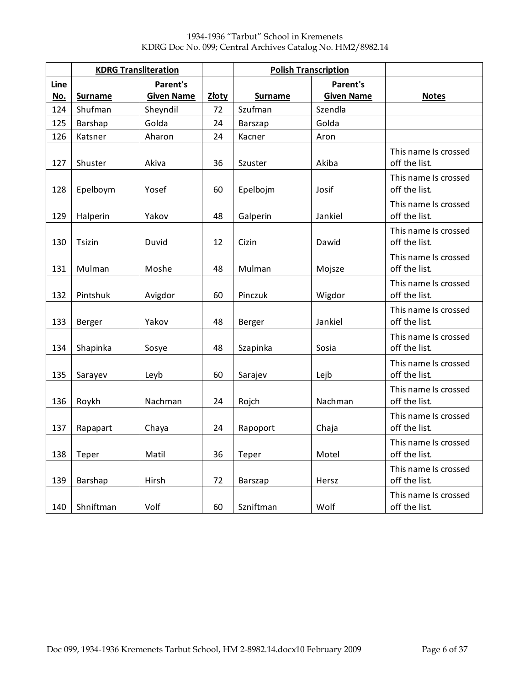|      | <b>KDRG Transliteration</b> |                   |       | <b>Polish Transcription</b> |                   |                                       |
|------|-----------------------------|-------------------|-------|-----------------------------|-------------------|---------------------------------------|
| Line |                             | <b>Parent's</b>   |       |                             | <b>Parent's</b>   |                                       |
| No.  | <b>Surname</b>              | <b>Given Name</b> | Złoty | <b>Surname</b>              | <b>Given Name</b> | <b>Notes</b>                          |
| 124  | Shufman                     | Sheyndil          | 72    | Szufman                     | Szendla           |                                       |
| 125  | Barshap                     | Golda             | 24    | <b>Barszap</b>              | Golda             |                                       |
| 126  | Katsner                     | Aharon            | 24    | Kacner                      | Aron              |                                       |
| 127  | Shuster                     | Akiva             | 36    | Akiba<br>Szuster            |                   | This name Is crossed<br>off the list. |
| 128  | Epelboym                    | Yosef             | 60    | Epelbojm                    | Josif             | This name Is crossed<br>off the list. |
| 129  | Halperin                    | Yakov             | 48    | Galperin                    | Jankiel           | This name Is crossed<br>off the list. |
| 130  | Tsizin                      | Duvid             | 12    | Cizin                       | Dawid             | This name Is crossed<br>off the list. |
| 131  | Mulman                      | Moshe             | 48    | Mulman                      | Mojsze            | This name Is crossed<br>off the list. |
| 132  | Pintshuk                    | Avigdor           | 60    | Pinczuk                     | Wigdor            | This name Is crossed<br>off the list. |
| 133  | Berger                      | Yakov             | 48    | Berger                      | Jankiel           | This name Is crossed<br>off the list. |
| 134  | Shapinka                    | Sosye             | 48    | Szapinka                    | Sosia             | This name Is crossed<br>off the list. |
| 135  | Sarayev                     | Leyb              | 60    | Sarajev                     | Lejb              | This name Is crossed<br>off the list. |
| 136  | Roykh                       | Nachman           | 24    | Rojch                       | Nachman           | This name Is crossed<br>off the list. |
| 137  | Rapapart                    | Chaya             | 24    | Rapoport                    | Chaja             | This name Is crossed<br>off the list. |
| 138  | Teper                       | Matil             | 36    | Teper                       | Motel             | This name Is crossed<br>off the list. |
| 139  | Barshap                     | Hirsh             | 72    | Barszap                     | Hersz             | This name Is crossed<br>off the list. |
| 140  | Shniftman                   | Volf              | 60    | Szniftman                   | Wolf              | This name Is crossed<br>off the list. |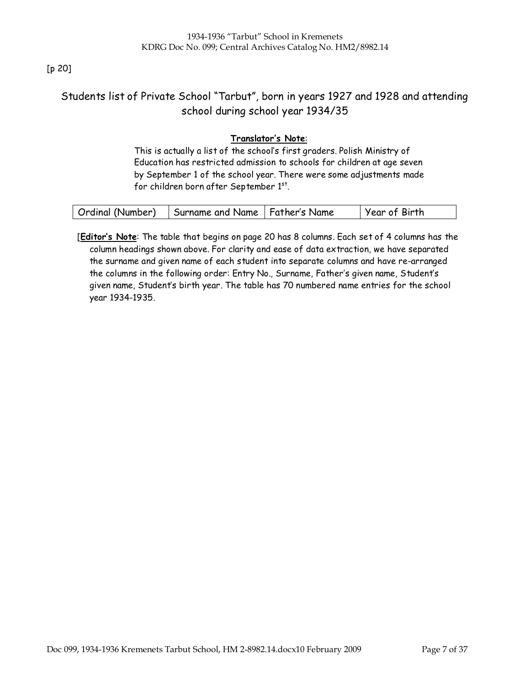### [p 20]

## Students list of Private School "Tarbut", born in years 1927 and 1928 and attending school during school year 1934/35

### Translator's Note:

This is actually a list of the school's first graders. Polish Ministry of Education has restricted admission to schools for children at age seven by September 1 of the school year. There were some adjustments made for children born after September  $1<sup>st</sup>$ .

| Ordinal (Number) | Surname and Name   Father's Name | Year of Birth |
|------------------|----------------------------------|---------------|
|------------------|----------------------------------|---------------|

[Editor's Note: The table that begins on page 20 has 8 columns. Each set of 4 columns has the column headings shown above. For clarity and ease of data extraction, we have separated the surname and given name of each student into separate columns and have re-arranged the columns in the following order: Entry No., Surname, Father's given name, Student's given name, Student's birth year. The table has 70 numbered name entries for the school year 1934-1935.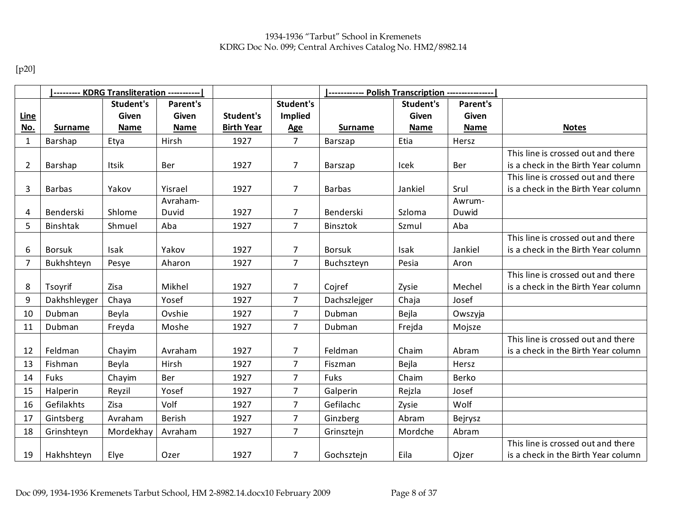[p20]

|                | --------- KDRG Transliteration ----------- |             |             |                   |                | ------------    Polish Transcription    ---------------- |              |             |                                     |
|----------------|--------------------------------------------|-------------|-------------|-------------------|----------------|----------------------------------------------------------|--------------|-------------|-------------------------------------|
|                |                                            | Student's   | Parent's    |                   | Student's      |                                                          | Student's    | Parent's    |                                     |
| <u>Line</u>    |                                            | Given       | Given       | Student's         | <b>Implied</b> |                                                          | <b>Given</b> | Given       |                                     |
| No.            | <b>Surname</b>                             | <b>Name</b> | <b>Name</b> | <b>Birth Year</b> | <b>Age</b>     | <b>Surname</b>                                           | <b>Name</b>  | <b>Name</b> | <b>Notes</b>                        |
| $\mathbf{1}$   | Barshap                                    | Etya        | Hirsh       | 1927              | $\overline{7}$ | Barszap                                                  | Etia         | Hersz       |                                     |
|                |                                            |             |             |                   |                |                                                          |              |             | This line is crossed out and there  |
| 2              | Barshap                                    | Itsik       | <b>Ber</b>  | 1927              | 7              | Barszap                                                  | Icek         | Ber         | is a check in the Birth Year column |
|                |                                            |             |             |                   |                |                                                          |              |             | This line is crossed out and there  |
| 3              | <b>Barbas</b>                              | Yakov       | Yisrael     | 1927              | 7              | <b>Barbas</b>                                            | Jankiel      | Srul        | is a check in the Birth Year column |
|                |                                            |             | Avraham-    |                   |                |                                                          |              | Awrum-      |                                     |
| 4              | Benderski                                  | Shlome      | Duvid       | 1927              | 7              | Benderski                                                | Szloma       | Duwid       |                                     |
| 5              | Binshtak                                   | Shmuel      | Aba         | 1927              | $\overline{7}$ | Binsztok                                                 | Szmul        | Aba         |                                     |
|                |                                            |             |             |                   |                |                                                          |              |             | This line is crossed out and there  |
| 6              | <b>Borsuk</b>                              | Isak        | Yakov       | 1927              | 7              | <b>Borsuk</b>                                            | Isak         | Jankiel     | is a check in the Birth Year column |
| $\overline{7}$ | Bukhshteyn                                 | Pesye       | Aharon      | 1927              | $\overline{7}$ | Buchszteyn                                               | Pesia        | Aron        |                                     |
|                |                                            |             |             |                   |                |                                                          |              |             | This line is crossed out and there  |
| 8              | Tsoyrif                                    | Zisa        | Mikhel      | 1927              | $\overline{7}$ | Cojref                                                   | Zysie        | Mechel      | is a check in the Birth Year column |
| 9              | Dakhshleyger                               | Chaya       | Yosef       | 1927              | $\overline{7}$ | Dachszlejger                                             | Chaja        | Josef       |                                     |
| 10             | Dubman                                     | Beyla       | Ovshie      | 1927              | $\overline{7}$ | Dubman                                                   | Bejla        | Owszyja     |                                     |
| 11             | Dubman                                     | Freyda      | Moshe       | 1927              | $\overline{7}$ | Dubman                                                   | Frejda       | Mojsze      |                                     |
|                |                                            |             |             |                   |                |                                                          |              |             | This line is crossed out and there  |
| 12             | Feldman                                    | Chayim      | Avraham     | 1927              | $\overline{7}$ | Feldman                                                  | Chaim        | Abram       | is a check in the Birth Year column |
| 13             | Fishman                                    | Beyla       | Hirsh       | 1927              | 7              | Fiszman                                                  | Bejla        | Hersz       |                                     |
| 14             | <b>Fuks</b>                                | Chayim      | Ber         | 1927              | $\overline{7}$ | Fuks                                                     | Chaim        | Berko       |                                     |
| 15             | Halperin                                   | Reyzil      | Yosef       | 1927              | $\overline{7}$ | Galperin                                                 | Rejzla       | Josef       |                                     |
| 16             | Gefilakhts                                 | Zisa        | Volf        | 1927              | 7              | Gefilachc                                                | Zysie        | Wolf        |                                     |
| 17             | Gintsberg                                  | Avraham     | Berish      | 1927              | $\overline{7}$ | Ginzberg                                                 | Abram        | Bejrysz     |                                     |
| 18             | Grinshteyn                                 | Mordekhay   | Avraham     | 1927              | $\overline{7}$ | Grinsztejn                                               | Mordche      | Abram       |                                     |
|                |                                            |             |             |                   |                |                                                          |              |             | This line is crossed out and there  |
| 19             | Hakhshteyn                                 | Elye        | Ozer        | 1927              | 7              | Gochsztejn                                               | Eila         | Ojzer       | is a check in the Birth Year column |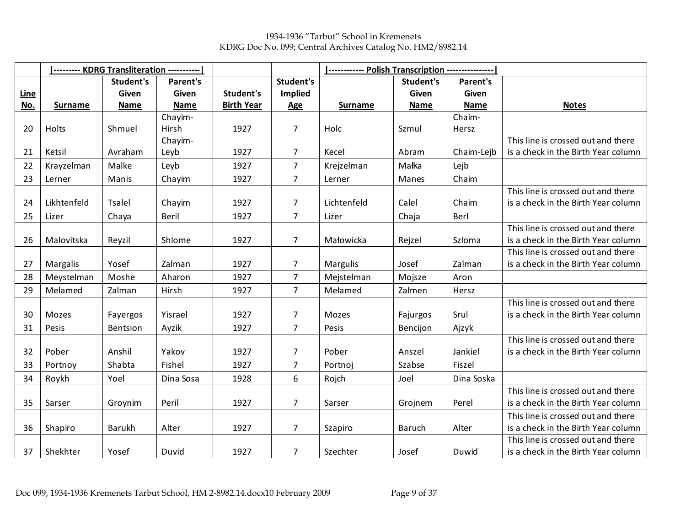1934-1936 "Tarbut" School in Kremenets KDRG Doc No. 099; Central Archives Catalog No. HM2/8982.14

|             |                | --------- KDRG Transliteration ----------- |             |                   |                |                |               |             |                                     |
|-------------|----------------|--------------------------------------------|-------------|-------------------|----------------|----------------|---------------|-------------|-------------------------------------|
|             |                | Student's                                  | Parent's    |                   | Student's      |                | Student's     | Parent's    |                                     |
| <u>Line</u> |                | Given                                      | Given       | Student's         | Implied        |                | <b>Given</b>  | Given       |                                     |
| No.         | <b>Surname</b> | <b>Name</b>                                | <b>Name</b> | <b>Birth Year</b> | <b>Age</b>     | <b>Surname</b> | <b>Name</b>   | <b>Name</b> | <b>Notes</b>                        |
|             |                |                                            | Chayim-     |                   |                |                |               | Chaim-      |                                     |
| 20          | Holts          | Shmuel                                     | Hirsh       | 1927              | $\overline{7}$ | Holc           | Szmul         | Hersz       |                                     |
|             |                |                                            | Chayim-     |                   |                |                |               |             | This line is crossed out and there  |
| 21          | Ketsil         | Avraham                                    | Leyb        | 1927              | $\overline{7}$ | Kecel          | Abram         | Chaim-Lejb  | is a check in the Birth Year column |
| 22          | Krayzelman     | Malke                                      | Leyb        | 1927              | $\overline{7}$ | Krejzelman     | Małka         | Lejb        |                                     |
| 23          | Lerner         | Manis                                      | Chayim      | 1927              | $\overline{7}$ | Lerner         | Manes         | Chaim       |                                     |
|             |                |                                            |             |                   |                |                |               |             | This line is crossed out and there  |
| 24          | Likhtenfeld    | <b>Tsalel</b>                              | Chayim      | 1927              | $\overline{7}$ | Lichtenfeld    | Calel         | Chaim       | is a check in the Birth Year column |
| 25          | Lizer          | Chaya                                      | Beril       | 1927              | $\overline{7}$ | Lizer          | Chaja         | Berl        |                                     |
|             |                |                                            |             |                   |                |                |               |             | This line is crossed out and there  |
| 26          | Malovitska     | Reyzil                                     | Shlome      | 1927              | $\overline{7}$ | Małowicka      | Rejzel        | Szloma      | is a check in the Birth Year column |
|             |                |                                            |             |                   |                |                |               |             | This line is crossed out and there  |
| 27          | Margalis       | Yosef                                      | Zalman      | 1927              | $\overline{7}$ | Margulis       | Josef         | Zalman      | is a check in the Birth Year column |
| 28          | Meystelman     | Moshe                                      | Aharon      | 1927              | $\overline{7}$ | Mejstelman     | Mojsze        | Aron        |                                     |
| 29          | Melamed        | Zalman                                     | Hirsh       | 1927              | $\overline{7}$ | Mełamed        | Załmen        | Hersz       |                                     |
|             |                |                                            |             |                   |                |                |               |             | This line is crossed out and there  |
| 30          | Mozes          | Fayergos                                   | Yisrael     | 1927              | 7              | Mozes          | Fajurgos      | Srul        | is a check in the Birth Year column |
| 31          | Pesis          | Bentsion                                   | Ayzik       | 1927              | $\overline{7}$ | Pesis          | Bencijon      | Ajzyk       |                                     |
|             |                |                                            |             |                   |                |                |               |             | This line is crossed out and there  |
| 32          | Pober          | Anshil                                     | Yakov       | 1927              | 7              | Pober          | Anszel        | Jankiel     | is a check in the Birth Year column |
| 33          | Portnoy        | Shabta                                     | Fishel      | 1927              | $\overline{7}$ | Portnoj        | Szabse        | Fiszel      |                                     |
| 34          | Roykh          | Yoel                                       | Dina Sosa   | 1928              | 6              | Rojch          | Joel          | Dina Soska  |                                     |
|             |                |                                            |             |                   |                |                |               |             | This line is crossed out and there  |
| 35          | Sarser         | Groynim                                    | Peril       | 1927              | $\overline{7}$ | Sarser         | Grojnem       | Perel       | is a check in the Birth Year column |
|             |                |                                            |             |                   |                |                |               |             | This line is crossed out and there  |
| 36          | Shapiro        | Barukh                                     | Alter       | 1927              | $\overline{7}$ | Szapiro        | <b>Baruch</b> | Alter       | is a check in the Birth Year column |
|             |                |                                            |             |                   |                |                |               |             | This line is crossed out and there  |
| 37          | Shekhter       | Yosef                                      | Duvid       | 1927              | $\overline{7}$ | Szechter       | Josef         | Duwid       | is a check in the Birth Year column |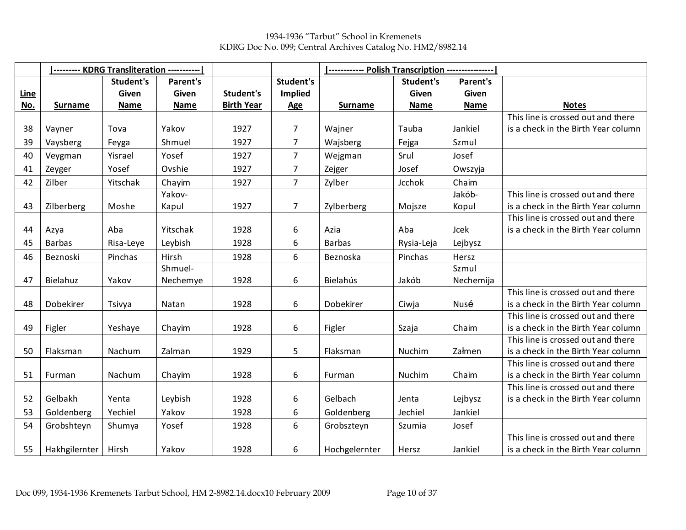1934-1936 "Tarbut" School in Kremenets KDRG Doc No. 099; Central Archives Catalog No. HM2/8982.14

|             |                | --------- KDRG Transliteration ----------- |          |                   |                  |                |             |             |                                     |
|-------------|----------------|--------------------------------------------|----------|-------------------|------------------|----------------|-------------|-------------|-------------------------------------|
|             |                | Student's                                  | Parent's |                   | <b>Student's</b> |                | Student's   | Parent's    |                                     |
| <b>Line</b> |                | Given                                      | Given    | Student's         | Implied          |                | Given       | Given       |                                     |
| No.         | <b>Surname</b> | <b>Name</b>                                | Name     | <b>Birth Year</b> | <b>Age</b>       | <b>Surname</b> | <b>Name</b> | <b>Name</b> | <b>Notes</b>                        |
|             |                |                                            |          |                   |                  |                |             |             | This line is crossed out and there  |
| 38          | Vayner         | Tova                                       | Yakov    | 1927              | $\overline{7}$   | Wajner         | Tauba       | Jankiel     | is a check in the Birth Year column |
| 39          | Vaysberg       | Feyga                                      | Shmuel   | 1927              | $\overline{7}$   | Wajsberg       | Fejga       | Szmul       |                                     |
| 40          | Veygman        | Yisrael                                    | Yosef    | 1927              | $\overline{7}$   | Wejgman        | Srul        | Josef       |                                     |
| 41          | Zeyger         | Yosef                                      | Ovshie   | 1927              | $\overline{7}$   | Zejger         | Josef       | Owszyja     |                                     |
| 42          | Zilber         | Yitschak                                   | Chayim   | 1927              | $\overline{7}$   | Zylber         | Jcchok      | Chaim       |                                     |
|             |                |                                            | Yakov-   |                   |                  |                |             | Jakób-      | This line is crossed out and there  |
| 43          | Zilberberg     | Moshe                                      | Kapul    | 1927              | $\overline{7}$   | Zylberberg     | Mojsze      | Kopul       | is a check in the Birth Year column |
|             |                |                                            |          |                   |                  |                |             |             | This line is crossed out and there  |
| 44          | Azya           | Aba                                        | Yitschak | 1928              | 6                | Azia           | Aba         | Jcek        | is a check in the Birth Year column |
| 45          | <b>Barbas</b>  | Risa-Leye                                  | Leybish  | 1928              | 6                | <b>Barbas</b>  | Rysia-Leja  | Lejbysz     |                                     |
| 46          | Beznoski       | Pinchas                                    | Hirsh    | 1928              | 6                | Beznoska       | Pinchas     | Hersz       |                                     |
|             |                |                                            | Shmuel-  |                   |                  |                |             | Szmul       |                                     |
| 47          | Bielahuz       | Yakov                                      | Nechemye | 1928              | 6                | Bielahús       | Jakób       | Nechemija   |                                     |
|             |                |                                            |          |                   |                  |                |             |             | This line is crossed out and there  |
| 48          | Dobekirer      | Tsivya                                     | Natan    | 1928              | 6                | Dobekirer      | Ciwja       | Nusé        | is a check in the Birth Year column |
|             |                |                                            |          |                   |                  |                |             |             | This line is crossed out and there  |
| 49          | Figler         | Yeshaye                                    | Chayim   | 1928              | 6                | Figler         | Szaja       | Chaim       | is a check in the Birth Year column |
|             |                |                                            |          |                   |                  |                |             |             | This line is crossed out and there  |
| 50          | Flaksman       | Nachum                                     | Zalman   | 1929              | 5                | Flaksman       | Nuchim      | Załmen      | is a check in the Birth Year column |
|             |                |                                            |          |                   |                  |                |             |             | This line is crossed out and there  |
| 51          | Furman         | Nachum                                     | Chayim   | 1928              | 6                | Furman         | Nuchim      | Chaim       | is a check in the Birth Year column |
|             |                |                                            |          |                   |                  |                |             |             | This line is crossed out and there  |
| 52          | Gelbakh        | Yenta                                      | Leybish  | 1928              | 6                | Gelbach        | Jenta       | Lejbysz     | is a check in the Birth Year column |
| 53          | Goldenberg     | Yechiel                                    | Yakov    | 1928              | 6                | Goldenberg     | Jechiel     | Jankiel     |                                     |
| 54          | Grobshteyn     | Shumya                                     | Yosef    | 1928              | 6                | Grobszteyn     | Szumia      | Josef       |                                     |
|             |                |                                            |          |                   |                  |                |             |             | This line is crossed out and there  |
| 55          | Hakhgilernter  | Hirsh                                      | Yakov    | 1928              | 6                | Hochgelernter  | Hersz       | Jankiel     | is a check in the Birth Year column |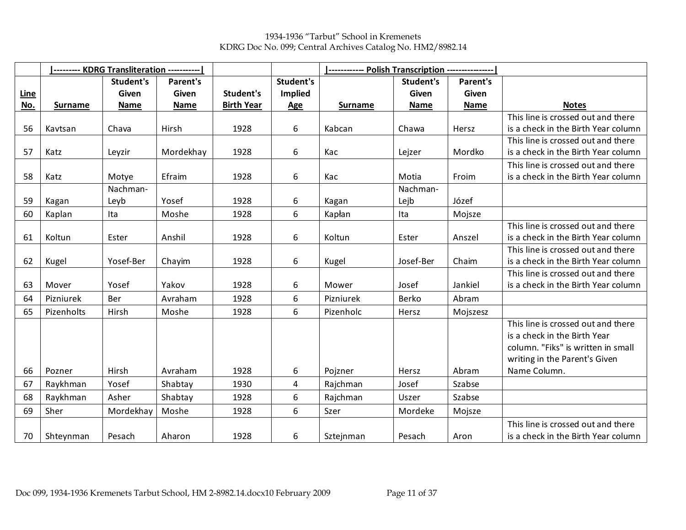1934-1936 "Tarbut" School in Kremenets KDRG Doc No. 099; Central Archives Catalog No. HM2/8982.14

|      |                | --------- KDRG Transliteration ---------- |             |                   |                | ------------ Polish Transcription ---------------- |             |             |                                     |  |  |
|------|----------------|-------------------------------------------|-------------|-------------------|----------------|----------------------------------------------------|-------------|-------------|-------------------------------------|--|--|
|      |                | Student's                                 | Parent's    |                   | Student's      |                                                    | Student's   | Parent's    |                                     |  |  |
| Line |                | Given                                     | Given       | Student's         | <b>Implied</b> |                                                    | Given       | Given       |                                     |  |  |
| No.  | <b>Surname</b> | <b>Name</b>                               | <b>Name</b> | <b>Birth Year</b> | <b>Age</b>     | <b>Surname</b>                                     | <b>Name</b> | <b>Name</b> | <b>Notes</b>                        |  |  |
|      |                |                                           |             |                   |                |                                                    |             |             | This line is crossed out and there  |  |  |
| 56   | Kavtsan        | Chava                                     | Hirsh       | 1928              | 6              | Kabcan                                             | Chawa       | Hersz       | is a check in the Birth Year column |  |  |
|      |                |                                           |             |                   |                |                                                    |             |             | This line is crossed out and there  |  |  |
| 57   | Katz           | Leyzir                                    | Mordekhay   | 1928              | 6              | Kac                                                | Lejzer      | Mordko      | is a check in the Birth Year column |  |  |
|      |                |                                           |             |                   |                |                                                    |             |             | This line is crossed out and there  |  |  |
| 58   | Katz           | Motye                                     | Efraim      | 1928              | 6              | Kac                                                | Motia       | Froim       | is a check in the Birth Year column |  |  |
|      |                | Nachman-                                  |             |                   |                |                                                    | Nachman-    |             |                                     |  |  |
| 59   | Kagan          | Leyb                                      | Yosef       | 1928              | 6              | Kagan                                              | Lejb        | Józef       |                                     |  |  |
| 60   | Kaplan         | Ita                                       | Moshe       | 1928              | 6              | Kapłan                                             | Ita         | Mojsze      |                                     |  |  |
|      |                |                                           |             |                   |                |                                                    |             |             | This line is crossed out and there  |  |  |
| 61   | Koltun         | Ester                                     | Anshil      | 1928              | 6              | Koltun                                             | Ester       | Anszel      | is a check in the Birth Year column |  |  |
|      |                |                                           |             |                   |                |                                                    |             |             | This line is crossed out and there  |  |  |
| 62   | Kugel          | Yosef-Ber                                 | Chayim      | 1928              | 6              | Kugel                                              | Josef-Ber   | Chaim       | is a check in the Birth Year column |  |  |
|      |                |                                           |             |                   |                |                                                    |             |             | This line is crossed out and there  |  |  |
| 63   | Mover          | Yosef                                     | Yakov       | 1928              | 6              | Mower                                              | Josef       | Jankiel     | is a check in the Birth Year column |  |  |
| 64   | Pizniurek      | Ber                                       | Avraham     | 1928              | 6              | Pizniurek                                          | Berko       | Abram       |                                     |  |  |
| 65   | Pizenholts     | Hirsh                                     | Moshe       | 1928              | 6              | Pizenholc                                          | Hersz       | Mojszesz    |                                     |  |  |
|      |                |                                           |             |                   |                |                                                    |             |             | This line is crossed out and there  |  |  |
|      |                |                                           |             |                   |                |                                                    |             |             | is a check in the Birth Year        |  |  |
|      |                |                                           |             |                   |                |                                                    |             |             | column. "Fiks" is written in small  |  |  |
|      |                |                                           |             |                   |                |                                                    |             |             | writing in the Parent's Given       |  |  |
| 66   | Pozner         | Hirsh                                     | Avraham     | 1928              | 6              | Pojzner                                            | Hersz       | Abram       | Name Column.                        |  |  |
| 67   | Raykhman       | Yosef                                     | Shabtay     | 1930              | 4              | Rajchman                                           | Josef       | Szabse      |                                     |  |  |
| 68   | Raykhman       | Asher                                     | Shabtay     | 1928              | 6              | Rajchman                                           | Uszer       | Szabse      |                                     |  |  |
| 69   | Sher           | Mordekhay                                 | Moshe       | 1928              | 6              | Szer                                               | Mordeke     | Mojsze      |                                     |  |  |
|      |                |                                           |             |                   |                |                                                    |             |             | This line is crossed out and there  |  |  |
| 70   | Shteynman      | Pesach                                    | Aharon      | 1928              | 6              | Sztejnman                                          | Pesach      | Aron        | is a check in the Birth Year column |  |  |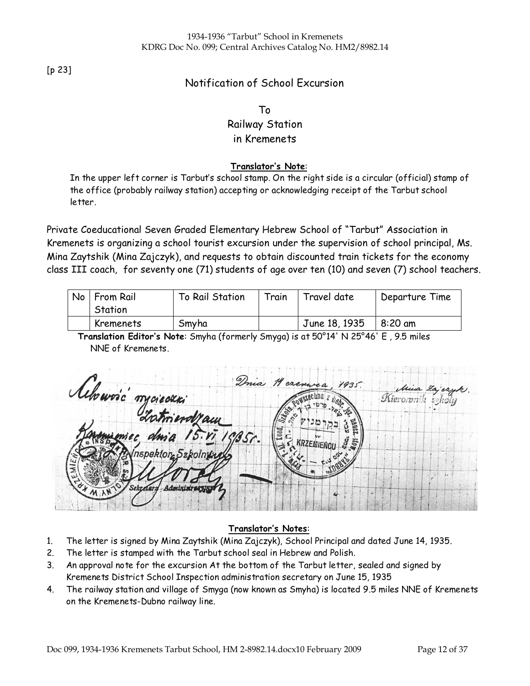[p 23]

## Notification of School Excursion

## To Railway Station in Kremenets

### Translator's Note:

In the upper left corner is Tarbut's school stamp. On the right side is a circular (official) stamp of the office (probably railway station) accepting or acknowledging receipt of the Tarbut school letter.

Private Coeducational Seven Graded Elementary Hebrew School of "Tarbut" Association in Kremenets is organizing a school tourist excursion under the supervision of school principal, Ms. Mina Zaytshik (Mina Zajczyk), and requests to obtain discounted train tickets for the economy class III coach, for seventy one (71) students of age over ten (10) and seven (7) school teachers.

| No   From Rail<br>To Rail Station |       | Train<br>Travel date |               | Departure Time |
|-----------------------------------|-------|----------------------|---------------|----------------|
| Station                           |       |                      |               |                |
| Kremenets                         | Smyha |                      | June 18, 1935 | $8:20$ am      |

Translation Editor's Note: Smyha (formerly Smyga) is at 50°14' N 25°46' E , 9.5 miles NNE of Kremenets.

 $1935$ Achowis' mysic Lechna z Mierorpnik spektor, Szk

### Translator's Notes:

- 1. The letter is signed by Mina Zaytshik (Mina Zajczyk), School Principal and dated June 14, 1935.
- 2. The letter is stamped with the Tarbut school seal in Hebrew and Polish.
- 3. An approval note for the excursion At the bottom of the Tarbut letter, sealed and signed by Kremenets District School Inspection administration secretary on June 15, 1935
- 4. The railway station and village of Smyga (now known as Smyha) is located 9.5 miles NNE of Kremenets on the Kremenets-Dubno railway line.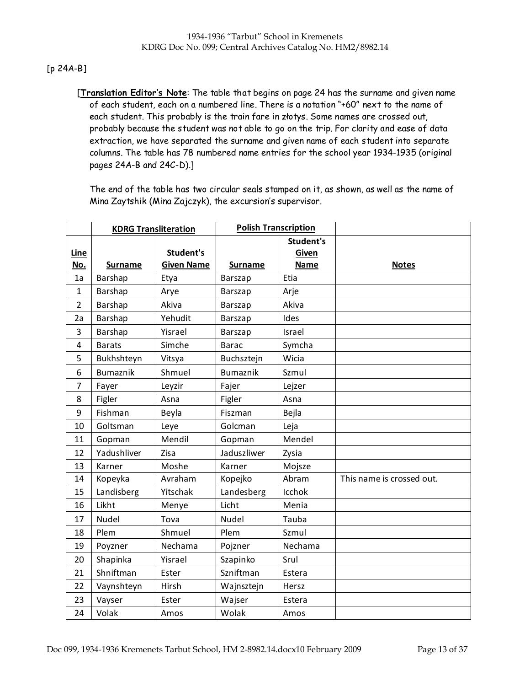### [p 24A-B]

[Translation Editor's Note: The table that begins on page 24 has the surname and given name of each student, each on a numbered line. There is a notation "+60" next to the name of each student. This probably is the train fare in złotys. Some names are crossed out, probably because the student was not able to go on the trip. For clarity and ease of data extraction, we have separated the surname and given name of each student into separate columns. The table has 78 numbered name entries for the school year 1934-1935 (original pages 24A-B and 24C-D).]

The end of the table has two circular seals stamped on it, as shown, as well as the name of Mina Zaytshik (Mina Zajczyk), the excursion's supervisor.

|                | <b>KDRG Transliteration</b> |                   | <b>Polish Transcription</b> |                           |                           |
|----------------|-----------------------------|-------------------|-----------------------------|---------------------------|---------------------------|
| Line           |                             | Student's         |                             | <b>Student's</b><br>Given |                           |
| No.            | <b>Surname</b>              | <b>Given Name</b> | <b>Surname</b>              | <b>Name</b>               | <b>Notes</b>              |
| 1a             | Barshap                     | Etya              | <b>Barszap</b>              | Etia                      |                           |
| 1              | Barshap                     | Arye              | Barszap                     | Arje                      |                           |
| $\overline{2}$ | Barshap                     | Akiva             | Barszap                     | Akiva                     |                           |
| 2a             | Barshap                     | Yehudit           | Barszap                     | Ides                      |                           |
| 3              | Barshap                     | Yisrael           | Barszap                     | Israel                    |                           |
| 4              | <b>Barats</b>               | Simche            | <b>Barac</b>                | Symcha                    |                           |
| 5              | Bukhshteyn                  | Vitsya            | Buchsztejn                  | Wicia                     |                           |
| 6              | <b>Bumaznik</b>             | Shmuel            | <b>Bumaznik</b>             | Szmul                     |                           |
| $\overline{7}$ | Fayer                       | Leyzir            | Fajer                       | Lejzer                    |                           |
| 8              | Figler                      | Asna              | Figler                      | Asna                      |                           |
| 9              | Fishman                     | Beyla             | Fiszman                     | Bejla                     |                           |
| 10             | Goltsman                    | Leye              | Golcman                     | Leja                      |                           |
| 11             | Gopman                      | Mendil            | Gopman                      | Mendel                    |                           |
| 12             | Yadushliver                 | Zisa              | Jaduszliwer                 | Zysia                     |                           |
| 13             | Karner                      | Moshe             | Karner                      | Mojsze                    |                           |
| 14             | Kopeyka                     | Avraham           | Kopejko                     | Abram                     | This name is crossed out. |
| 15             | Landisberg                  | Yitschak          | Landesberg                  | Icchok                    |                           |
| 16             | Likht                       | Menye             | Licht                       | Menia                     |                           |
| 17             | <b>Nudel</b>                | Tova              | Nudel                       | Tauba                     |                           |
| 18             | Plem                        | Shmuel            | Plem                        | Szmul                     |                           |
| 19             | Poyzner                     | Nechama           | Pojzner                     | Nechama                   |                           |
| 20             | Shapinka                    | Yisrael           | Szapinko                    | Srul                      |                           |
| 21             | Shniftman                   | Ester             | Szniftman                   | Estera                    |                           |
| 22             | Vaynshteyn                  | Hirsh             | Wajnsztejn                  | Hersz                     |                           |
| 23             | Vayser                      | Ester             | Wajser                      | Estera                    |                           |
| 24             | Volak                       | Amos              | Wolak                       | Amos                      |                           |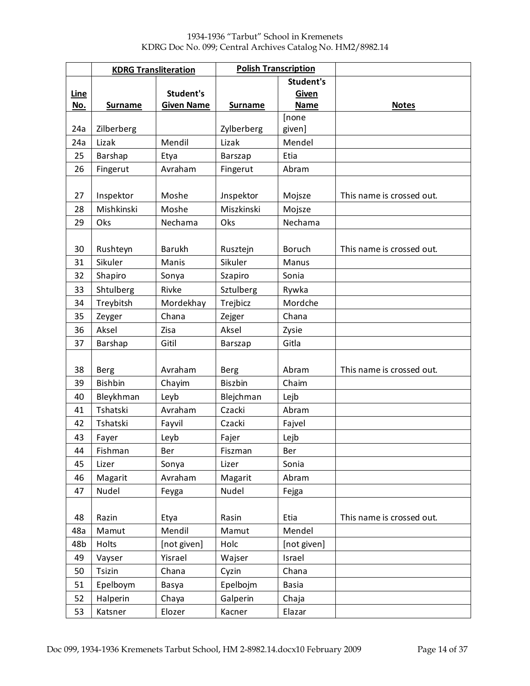|      | <b>KDRG Transliteration</b> |                   | <b>Polish Transcription</b> |               |                           |
|------|-----------------------------|-------------------|-----------------------------|---------------|---------------------------|
|      |                             |                   |                             | Student's     |                           |
| Line |                             | Student's         |                             | Given         |                           |
| No.  | <b>Surname</b>              | <b>Given Name</b> | <b>Surname</b>              | <b>Name</b>   | <b>Notes</b>              |
|      |                             |                   |                             | [none         |                           |
| 24a  | Zilberberg                  |                   | Zylberberg                  | given]        |                           |
| 24a  | Lizak                       | Mendil            | Lizak                       | Mendel        |                           |
| 25   | Barshap                     | Etya              | Barszap                     | Etia          |                           |
| 26   | Fingerut                    | Avraham           | Fingerut                    | Abram         |                           |
|      |                             |                   |                             |               |                           |
| 27   | Inspektor                   | Moshe             | Jnspektor                   | Mojsze        | This name is crossed out. |
| 28   | Mishkinski                  | Moshe             | Miszkinski                  | Mojsze        |                           |
| 29   | Oks                         | Nechama           | Oks                         | Nechama       |                           |
|      |                             |                   |                             |               |                           |
| 30   | Rushteyn                    | <b>Barukh</b>     | Rusztejn                    | <b>Boruch</b> | This name is crossed out. |
| 31   | Sikuler                     | Manis             | Sikuler                     | Manus         |                           |
| 32   | Shapiro                     | Sonya             | Szapiro                     | Sonia         |                           |
| 33   | Shtulberg                   | Rivke             | Sztulberg                   | Rywka         |                           |
| 34   | Treybitsh                   | Mordekhay         | Trejbicz                    | Mordche       |                           |
| 35   | Zeyger                      | Chana             | Zejger                      | Chana         |                           |
| 36   | Aksel                       | Zisa              | Aksel                       | Zysie         |                           |
| 37   | Barshap                     | Gitil             | Barszap                     | Gitla         |                           |
|      |                             |                   |                             |               |                           |
| 38   | <b>Berg</b>                 | Avraham           | Berg                        | Abram         | This name is crossed out. |
| 39   | <b>Bishbin</b>              | Chayim            | <b>Biszbin</b>              | Chaim         |                           |
| 40   | Bleykhman                   | Leyb              | Blejchman                   | Lejb          |                           |
| 41   | Tshatski                    | Avraham           | Czacki                      | Abram         |                           |
| 42   | Tshatski                    | Fayvil            | Czacki                      | Fajvel        |                           |
| 43   | Fayer                       | Leyb              | Fajer                       | Lejb          |                           |
| 44   | Fishman                     | Ber               | Fiszman                     | Ber           |                           |
| 45   | Lizer                       | Sonya             | Lizer                       | Sonia         |                           |
| 46   | Magarit                     | Avraham           | Magarit                     | Abram         |                           |
| 47   | Nudel                       | Feyga             | Nudel                       | Fejga         |                           |
|      |                             |                   |                             |               |                           |
| 48   | Razin                       | Etya              | Rasin                       | Etia          | This name is crossed out. |
| 48a  | Mamut                       | Mendil            | Mamut                       | Mendel        |                           |
| 48b  | Holts                       | [not given]       | Holc                        | [not given]   |                           |
| 49   | Vayser                      | Yisrael           | Wajser                      | Israel        |                           |
| 50   | Tsizin                      | Chana             | Cyzin                       | Chana         |                           |
| 51   | Epelboym                    | Basya             | Epelbojm                    | <b>Basia</b>  |                           |
| 52   | Halperin                    | Chaya             | Galperin                    | Chaja         |                           |
| 53   | Katsner                     | Elozer            | Kacner                      | Elazar        |                           |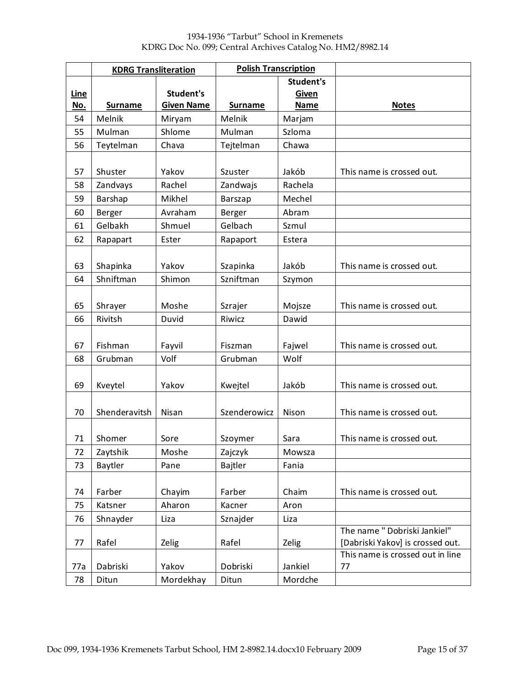|             | <b>KDRG Transliteration</b> |                   | <b>Polish Transcription</b> |                  |                                  |
|-------------|-----------------------------|-------------------|-----------------------------|------------------|----------------------------------|
|             |                             |                   |                             | <b>Student's</b> |                                  |
| <b>Line</b> |                             | Student's         |                             | <b>Given</b>     |                                  |
| No.         | <b>Surname</b>              | <b>Given Name</b> | <b>Surname</b>              | <b>Name</b>      | <b>Notes</b>                     |
| 54          | Melnik                      | Miryam            | Melnik                      | Marjam           |                                  |
| 55          | Mulman                      | Shlome            | Mulman                      | Szloma           |                                  |
| 56          | Teytelman                   | Chava             | Tejtelman                   | Chawa            |                                  |
|             |                             |                   |                             |                  |                                  |
| 57          | Shuster                     | Yakov             | Szuster                     | Jakób            | This name is crossed out.        |
| 58          | Zandvays                    | Rachel            | Zandwajs                    | Rachela          |                                  |
| 59          | Barshap                     | Mikhel            | Barszap                     | Mechel           |                                  |
| 60          | Berger                      | Avraham           | Berger                      | Abram            |                                  |
| 61          | Gelbakh                     | Shmuel            | Gelbach                     | Szmul            |                                  |
| 62          | Rapapart                    | Ester             | Rapaport                    | Estera           |                                  |
|             |                             |                   |                             |                  |                                  |
| 63          | Shapinka                    | Yakov             | Szapinka                    | Jakób            | This name is crossed out.        |
| 64          | Shniftman                   | Shimon            | Szniftman                   | Szymon           |                                  |
|             |                             |                   |                             |                  |                                  |
| 65          | Shrayer                     | Moshe             | Szrajer                     | Mojsze           | This name is crossed out.        |
| 66          | Rivitsh                     | Duvid             | Riwicz                      | Dawid            |                                  |
|             |                             |                   |                             |                  |                                  |
| 67          | Fishman                     | Fayvil            | Fiszman                     | Fajwel           | This name is crossed out.        |
| 68          | Grubman                     | Volf              | Grubman                     | Wolf             |                                  |
|             |                             |                   |                             |                  |                                  |
| 69          | Kveytel                     | Yakov             | Kwejtel                     | Jakób            | This name is crossed out.        |
|             |                             |                   |                             |                  |                                  |
| 70          | Shenderavitsh               | Nisan             | Szenderowicz                | Nison            | This name is crossed out.        |
|             |                             |                   |                             |                  |                                  |
| 71          | Shomer                      | Sore              | Szoymer                     | Sara             | This name is crossed out.        |
| 72          | Zaytshik                    | Moshe             | Zajczyk                     | Mowsza           |                                  |
| 73          | Baytler                     | Pane              | Bajtler                     | Fania            |                                  |
|             |                             |                   |                             |                  |                                  |
| 74          | Farber                      | Chayim            | Farber                      | Chaim            | This name is crossed out.        |
| 75          | Katsner                     | Aharon            | Kacner                      | Aron             |                                  |
| 76          | Shnayder                    | Liza              | Sznajder                    | Liza             |                                  |
|             |                             |                   |                             |                  | The name " Dobriski Jankiel"     |
| 77          | Rafel                       | Zelig             | Rafel                       | Zelig            | [Dabriski Yakov] is crossed out. |
|             |                             |                   |                             |                  | This name is crossed out in line |
| 77a         | Dabriski                    | Yakov             | Dobriski                    | Jankiel          | 77                               |
| 78          | Ditun                       | Mordekhay         | Ditun                       | Mordche          |                                  |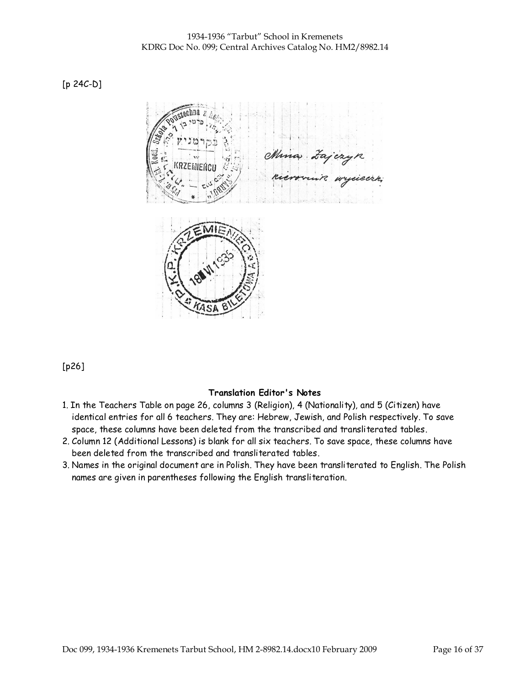[p 24C-D]



[p26]

### Translation Editor's Notes

- 1. In the Teachers Table on page 26, columns 3 (Religion), 4 (Nationality), and 5 (Citizen) have identical entries for all 6 teachers. They are: Hebrew, Jewish, and Polish respectively. To save space, these columns have been deleted from the transcribed and transliterated tables.
- 2. Column 12 (Additional Lessons) is blank for all six teachers. To save space, these columns have been deleted from the transcribed and transliterated tables.
- 3. Names in the original document are in Polish. They have been transliterated to English. The Polish names are given in parentheses following the English transliteration.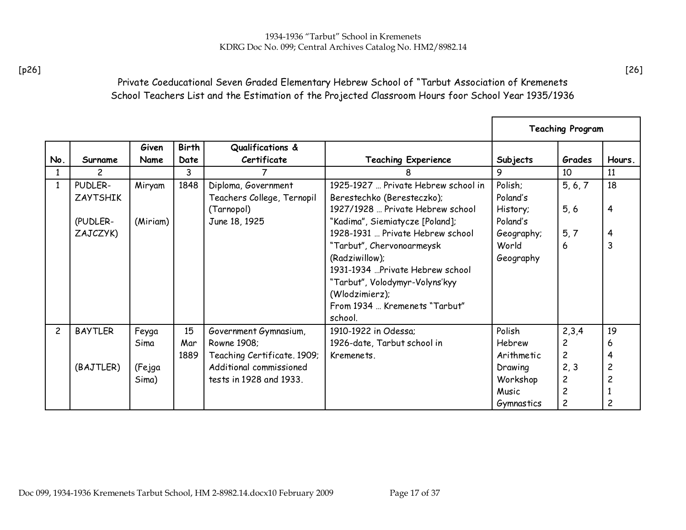## Private Coeducational Seven Graded Elementary Hebrew School of "Tarbut Association of Kremenets School Teachers List and the Estimation of the Projected Classroom Hours foor School Year 1935/1936

|                |                            |                 |                      |                                                                                   |                                                                                                                                                                                 |                                                                 | <b>Teaching Program</b>                                                      |                                            |
|----------------|----------------------------|-----------------|----------------------|-----------------------------------------------------------------------------------|---------------------------------------------------------------------------------------------------------------------------------------------------------------------------------|-----------------------------------------------------------------|------------------------------------------------------------------------------|--------------------------------------------|
| No.            | Surname                    | Given<br>Name   | <b>Birth</b><br>Date | Qualifications &<br>Certificate                                                   | <b>Teaching Experience</b>                                                                                                                                                      | Subjects                                                        | Grades                                                                       | Hours.                                     |
| 1              | 2                          |                 | 3                    |                                                                                   | 8                                                                                                                                                                               | 9                                                               | 10                                                                           | 11                                         |
|                | PUDLER-<br><b>ZAYTSHIK</b> | Miryam          | 1848                 | Diploma, Government<br>Teachers College, Ternopil                                 | 1925-1927  Private Hebrew school in<br>Berestechko (Beresteczko);                                                                                                               | Polish;<br>Poland's                                             | 5, 6, 7                                                                      | 18                                         |
|                | (PUDLER-                   | (Miriam)        |                      | (Tarnopol)<br>June 18, 1925                                                       | 1927/1928  Private Hebrew school<br>"Kadima", Siemiatycze [Poland];                                                                                                             | History;<br>Poland's                                            | 5, 6                                                                         | 4                                          |
|                | ZAJCZYK)                   |                 |                      |                                                                                   | 1928-1931  Private Hebrew school                                                                                                                                                | Geography;                                                      | 5, 7                                                                         | 4                                          |
|                |                            |                 |                      |                                                                                   | "Tarbut", Chervonoarmeysk<br>(Radziwillow);<br>1931-1934 "Private Hebrew school<br>"Tarbut", Volodymyr-Volyns'kyy<br>(Wlodzimierz);<br>From 1934  Kremenets "Tarbut"<br>school. | World<br>Geography                                              | 6                                                                            | 3                                          |
| $\overline{c}$ | <b>BAYTLER</b>             | Feyga           | 15                   | Government Gymnasium,                                                             | 1910-1922 in Odessa:                                                                                                                                                            | Polish                                                          | 2,3,4                                                                        | 19                                         |
|                |                            | Sima            | Mar                  | Rowne 1908;                                                                       | 1926-date, Tarbut school in                                                                                                                                                     | <b>Hebrew</b>                                                   | $\overline{c}$                                                               | 6                                          |
|                | (BAJTLER)                  | (Fejga<br>Sima) | 1889                 | Teaching Certificate. 1909;<br>Additional commissioned<br>tests in 1928 and 1933. | Kremenets.                                                                                                                                                                      | Arithmetic<br>Drawing<br>Workshop<br>Music<br><b>Gymnastics</b> | $\overline{c}$<br>2, 3<br>$\overline{c}$<br>$\overline{c}$<br>$\overline{c}$ | 4<br>$\overline{c}$<br>$\overline{c}$<br>2 |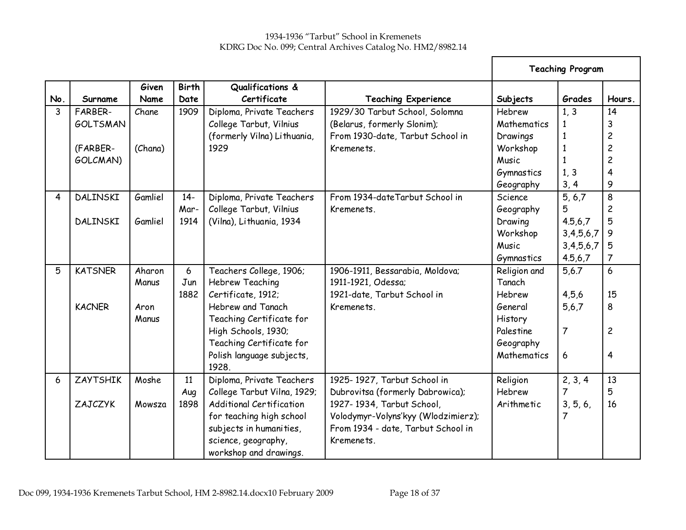|     |                 |               |                      |                                 |                                     | <b>Teaching Program</b> |                |                |
|-----|-----------------|---------------|----------------------|---------------------------------|-------------------------------------|-------------------------|----------------|----------------|
| No. | Surname         | Given<br>Name | <b>Birth</b><br>Date | Qualifications &<br>Certificate | <b>Teaching Experience</b>          | Subjects                | Grades         | Hours.         |
| 3   | FARBER-         | Chane         | 1909                 | Diploma, Private Teachers       | 1929/30 Tarbut School, Solomna      | Hebrew                  | 1, 3           | 14             |
|     | <b>GOLTSMAN</b> |               |                      | College Tarbut, Vilnius         | (Belarus, formerly Slonim);         | Mathematics             | 1              | 3              |
|     |                 |               |                      | (formerly Vilna) Lithuania,     | From 1930-date, Tarbut School in    | Drawings                | 1              | 2              |
|     | (FARBER-        | (Chana)       |                      | 1929                            | Kremenets.                          | Workshop                | $\mathbf{1}$   | $\overline{c}$ |
|     | GOLCMAN)        |               |                      |                                 |                                     | Music                   |                | $\overline{c}$ |
|     |                 |               |                      |                                 |                                     | <b>Gymnastics</b>       | 1, 3           | 4              |
|     |                 |               |                      |                                 |                                     | Geography               | 3, 4           | 9              |
| 4   | DALINSKI        | Gamliel       | $14-$                | Diploma, Private Teachers       | From 1934-date Tarbut School in     | Science                 | 5, 6, 7        | 8              |
|     |                 |               | Mar-                 | College Tarbut, Vilnius         | Kremenets.                          | Geography               | 5              | $\overline{c}$ |
|     | DALINSKI        | Gamliel       | 1914                 | (Vilna), Lithuania, 1934        |                                     | Drawing                 | 4.5,6,7        | 5              |
|     |                 |               |                      |                                 |                                     | Workshop                | 3,4,5,6,7      | 9              |
|     |                 |               |                      |                                 |                                     | Music                   | 3,4,5,6,7      | 5              |
|     |                 |               |                      |                                 |                                     | Gymnastics              | 4.5,6,7        | 7              |
| 5   | <b>KATSNER</b>  | Aharon        | 6                    | Teachers College, 1906;         | 1906-1911, Bessarabia, Moldova;     | Religion and            | 5,6.7          | 6              |
|     |                 | Manus         | Jun                  | Hebrew Teaching                 | 1911-1921, Odessa;                  | Tanach                  |                |                |
|     |                 |               | 1882                 | Certificate, 1912;              | 1921-date, Tarbut School in         | Hebrew                  | 4,5,6          | 15             |
|     | <b>KACNER</b>   | Aron          |                      | Hebrew and Tanach               | Kremenets.                          | General                 | 5,6,7          | 8              |
|     |                 | Manus         |                      | Teaching Certificate for        |                                     | History                 |                |                |
|     |                 |               |                      | High Schools, 1930;             |                                     | Palestine               | $\overline{7}$ | $\overline{c}$ |
|     |                 |               |                      | Teaching Certificate for        |                                     | Geography               |                |                |
|     |                 |               |                      | Polish language subjects,       |                                     | Mathematics             | 6              | $\overline{4}$ |
|     |                 |               |                      | 1928.                           |                                     |                         |                |                |
| 6   | <b>ZAYTSHIK</b> | Moshe         | 11                   | Diploma, Private Teachers       | 1925-1927, Tarbut School in         | Religion                | 2, 3, 4        | 13             |
|     |                 |               | Aug                  | College Tarbut Vilna, 1929;     | Dubrovitsa (formerly Dabrowica);    | Hebrew                  | 7              | 5              |
|     | ZAJCZYK         | Mowsza        | 1898                 | <b>Additional Certification</b> | 1927-1934, Tarbut School,           | Arithmetic              | 3, 5, 6,       | 16             |
|     |                 |               |                      | for teaching high school        | Volodymyr-Volyns'kyy (Wlodzimierz); |                         | 7              |                |
|     |                 |               |                      | subjects in humanities,         | From 1934 - date, Tarbut School in  |                         |                |                |
|     |                 |               |                      | science, geography,             | Kremenets.                          |                         |                |                |
|     |                 |               |                      | workshop and drawings.          |                                     |                         |                |                |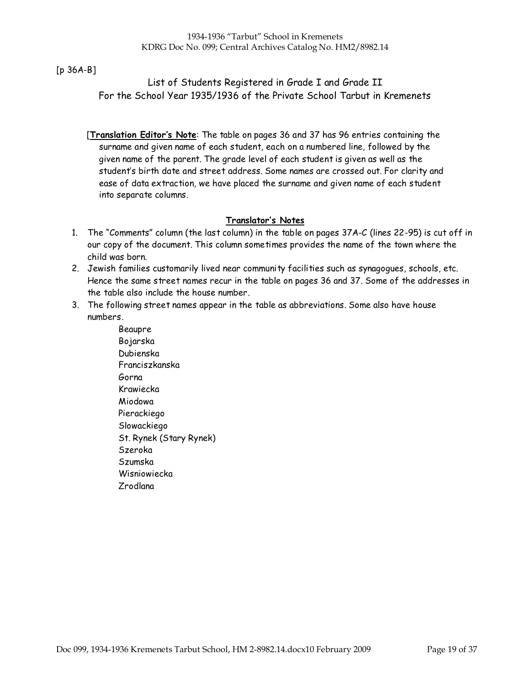### [p 36A-B]

### List of Students Registered in Grade I and Grade II For the School Year 1935/1936 of the Private School Tarbut in Kremenets

[Translation Editor's Note: The table on pages 36 and 37 has 96 entries containing the surname and given name of each student, each on a numbered line, followed by the given name of the parent. The grade level of each student is given as well as the student's birth date and street address. Some names are crossed out. For clarity and ease of data extraction, we have placed the surname and given name of each student into separate columns.

### Translator's Notes

- 1. The "Comments" column (the last column) in the table on pages 37A-C (lines 22-95) is cut off in our copy of the document. This column sometimes provides the name of the town where the child was born.
- 2. Jewish families customarily lived near community facilities such as synagogues, schools, etc. Hence the same street names recur in the table on pages 36 and 37. Some of the addresses in the table also include the house number.
- 3. The following street names appear in the table as abbreviations. Some also have house numbers.
	- Beaupre Bojarska Dubienska Franciszkanska Gorna Krawiecka Miodowa Pierackiego Slowackiego St. Rynek (Stary Rynek) Szeroka Szumska Wisniowiecka Zrodlana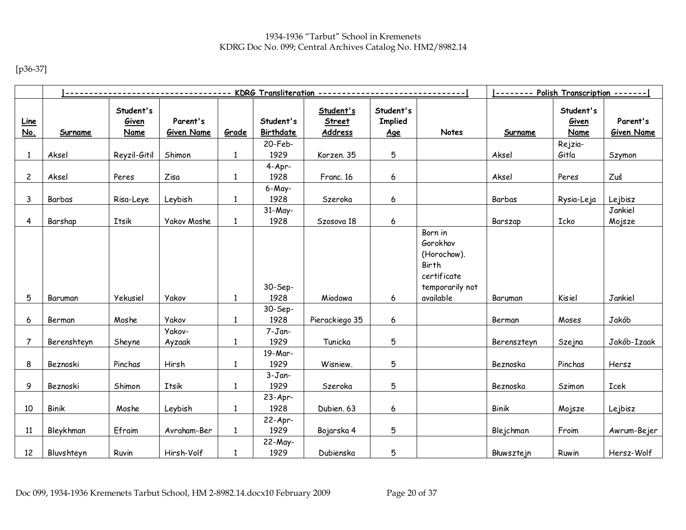[p36-37]

|                           |                |                                   |                               |              |                               | ---------------------------------- KDRG Transliteration ------------------------------ |                                           |                                                                               | -------- Polish Transcription ------- |                                   |                               |
|---------------------------|----------------|-----------------------------------|-------------------------------|--------------|-------------------------------|----------------------------------------------------------------------------------------|-------------------------------------------|-------------------------------------------------------------------------------|---------------------------------------|-----------------------------------|-------------------------------|
| <u>Line</u><br><u>No.</u> | <b>Surname</b> | Student's<br>Given<br><b>Name</b> | Parent's<br><b>Given Name</b> | Grade        | Student's<br>Birthdate        | Student's<br><b>Street</b><br>Address                                                  | Student's<br><b>Implied</b><br><u>Age</u> | Notes                                                                         | <b>Surname</b>                        | Student's<br>Given<br><b>Name</b> | Parent's<br><b>Given Name</b> |
|                           |                |                                   |                               |              | 20-Feb-                       |                                                                                        |                                           |                                                                               |                                       | Rejzia-                           |                               |
| $\mathbf{1}$              | Aksel          | Reyzil-Gitil                      | Shimon                        | $\mathbf{1}$ | 1929                          | Korzen. 35                                                                             | 5                                         |                                                                               | Aksel                                 | Gitla                             | Szymon                        |
|                           |                |                                   |                               |              | $4-Apr-$                      |                                                                                        |                                           |                                                                               |                                       |                                   |                               |
| $\overline{c}$            | Aksel          | Peres                             | Zisa                          | $\mathbf{1}$ | 1928                          | Franc. 16                                                                              | 6                                         |                                                                               | Aksel                                 | Peres                             | Zuś                           |
| 3                         | Barbas         | Risa-Leye                         | Leybish                       | $\mathbf{1}$ | 6-May-<br>1928                | Szeroka                                                                                | $\boldsymbol{6}$                          |                                                                               | Barbas                                | Rysia-Leja                        | Lejbisz                       |
|                           |                |                                   |                               |              | $31-May-$                     |                                                                                        |                                           |                                                                               |                                       |                                   | Jankiel                       |
| 4                         | Barshap        | Itsik                             | Yakov Moshe                   | $\mathbf{1}$ | 1928                          | Szosova 18                                                                             | 6                                         |                                                                               | Barszap                               | Icko                              | Mojsze                        |
|                           |                |                                   |                               |              | 30-Sep-                       |                                                                                        |                                           | Born in<br>Gorokhov<br>(Horochow).<br>Birth<br>certificate<br>temporarily not |                                       |                                   |                               |
| 5                         | Baruman        | Yekusiel                          | <b>Yakov</b>                  | $\mathbf{1}$ | 1928                          | Miodowa                                                                                | 6                                         | available                                                                     | Baruman                               | Kisiel                            | Jankiel                       |
| 6                         | Berman         | Moshe                             | <b>Yakov</b><br>Yakov-        | $\mathbf{1}$ | 30-Sep-<br>1928<br>$7 - Jan-$ | Pierackiego 35                                                                         | 6                                         |                                                                               | Berman                                | Moses                             | Jakób                         |
| 7                         | Berenshteyn    | Sheyne                            | Ayzaak                        | $\mathbf{1}$ | 1929                          | Tunicka                                                                                | 5                                         |                                                                               | Berenszteyn                           | Szejna                            | Jakób-Izaak                   |
|                           |                |                                   |                               |              | 19-Mar-                       |                                                                                        |                                           |                                                                               |                                       |                                   |                               |
| 8                         | Beznoski       | Pinchas                           | Hirsh                         | $\mathbf{1}$ | 1929                          | Wisniew.                                                                               | 5                                         |                                                                               | Beznoska                              | Pinchas                           | Hersz                         |
| 9                         | Beznoski       | Shimon                            | Itsik                         | $\mathbf{1}$ | $3 - Jan-$<br>1929            | Szeroka                                                                                | 5                                         |                                                                               | Beznoska                              | Szimon                            | Icek                          |
|                           |                |                                   |                               |              | $23-Apr-$                     |                                                                                        |                                           |                                                                               |                                       |                                   |                               |
| 10                        | <b>Binik</b>   | Moshe                             | Leybish                       | $\mathbf{1}$ | 1928                          | Dubien. 63                                                                             | 6                                         |                                                                               | <b>Binik</b>                          | Mojsze                            | Lejbisz                       |
| 11                        | Bleykhman      | Efraim                            | Avraham-Ber                   | $\mathbf{1}$ | $22-Apr-$<br>1929<br>22-May-  | Bojarska 4                                                                             | 5                                         |                                                                               | Blejchman                             | Froim                             | Awrum-Bejer                   |
| 12                        | Bluvshteyn     | Ruvin                             | Hirsh-Volf                    | $\mathbf{1}$ | 1929                          | Dubienska                                                                              | 5                                         |                                                                               | Błuwsztejn                            | Ruwin                             | Hersz-Wolf                    |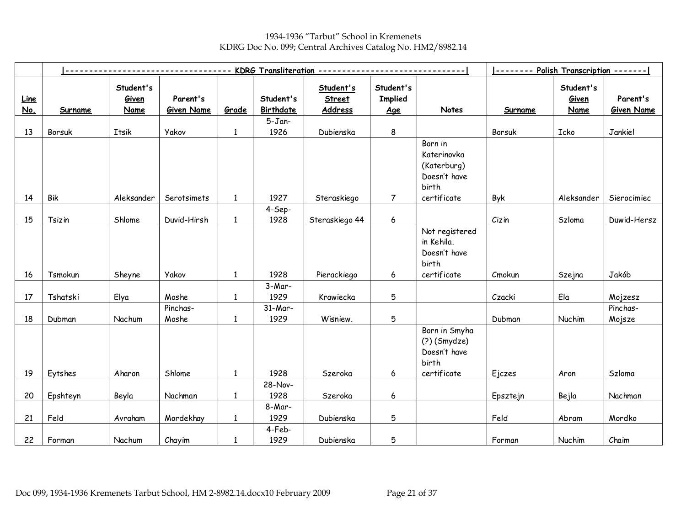1934-1936 "Tarbut" School in Kremenets KDRG Doc No. 099; Central Archives Catalog No. HM2/8982.14

|                    |                |                                   |                               |              |                               | KDRG Transliteration --------------   |                                           | -------- Polish Transcription -------                          |          |                                   |                               |
|--------------------|----------------|-----------------------------------|-------------------------------|--------------|-------------------------------|---------------------------------------|-------------------------------------------|----------------------------------------------------------------|----------|-----------------------------------|-------------------------------|
| <b>Line</b><br>No. | <b>Surname</b> | Student's<br>Given<br><b>Name</b> | Parent's<br><b>Given Name</b> | Grade        | Student's<br><b>Birthdate</b> | Student's<br><b>Street</b><br>Address | Student's<br><b>Implied</b><br><u>Age</u> | Notes                                                          | Surname  | Student's<br>Given<br><b>Name</b> | Parent's<br><b>Given Name</b> |
|                    |                |                                   |                               |              | $5 - Jan-$                    |                                       |                                           |                                                                |          |                                   |                               |
| 13                 | Borsuk         | Itsik                             | <b>Yakov</b>                  | $\mathbf{1}$ | 1926                          | Dubienska                             | $\bf 8$                                   |                                                                | Borsuk   | Icko                              | Jankiel                       |
|                    |                |                                   |                               |              |                               |                                       |                                           | Born in<br>Katerinovka<br>(Katerburg)<br>Doesn't have<br>birth |          |                                   |                               |
| 14                 | Bik            | Aleksander                        | Serotsimets                   | $\mathbf{1}$ | 1927                          | Steraskiego                           | $\overline{7}$                            | certificate                                                    | Byk      | Aleksander                        | Sierocimiec                   |
| 15                 | Tsizin         | Shlome                            | Duvid-Hirsh                   | $\mathbf{1}$ | 4-Sep-<br>1928                | Steraskiego 44                        | $\boldsymbol{6}$                          |                                                                | Cizin    | Szloma                            | Duwid-Hersz                   |
|                    |                |                                   |                               |              |                               |                                       |                                           | Not registered<br>in Kehila.<br>Doesn't have<br>birth          |          |                                   |                               |
| 16                 | Tsmokun        | Sheyne                            | <b>Yakov</b>                  | $\mathbf{1}$ | 1928                          | Pierackiego                           | 6                                         | certificate                                                    | Cmokun   | Szejna                            | Jakób                         |
| 17                 | Tshatski       | Elya                              | Moshe                         | $\mathbf{1}$ | $3-Mar-$<br>1929              | Krawiecka                             | 5                                         |                                                                | Czacki   | Ela                               | Mojzesz                       |
| 18                 | Dubman         | Nachum                            | Pinchas-<br>Moshe             | $\mathbf{1}$ | $31-Mar-$<br>1929             | Wisniew.                              | 5                                         |                                                                | Dubman   | Nuchim                            | Pinchas-<br>Mojsze            |
|                    |                |                                   |                               |              |                               |                                       |                                           | Born in Smyha<br>$(2)$ (Smydze)<br>Doesn't have<br>birth       |          |                                   |                               |
| 19                 | Eytshes        | Aharon                            | Shlome                        | $\mathbf{1}$ | 1928                          | Szeroka                               | 6                                         | certificate                                                    | Ejczes   | Aron                              | Szloma                        |
| 20                 | Epshteyn       | Beyla                             | Nachman                       | $\mathbf{1}$ | 28-Nov-<br>1928               | Szeroka                               | 6                                         |                                                                | Epsztejn | Bejla                             | Nachman                       |
| 21                 | Feld           | Avraham                           | Mordekhay                     | 1            | 8-Mar-<br>1929                | Dubienska                             | 5                                         |                                                                | Feld     | Abram                             | Mordko                        |
| 22                 | Forman         | Nachum                            | Chayim                        | 1            | 4-Feb-<br>1929                | Dubienska                             | 5                                         |                                                                | Forman   | Nuchim                            | Chaim                         |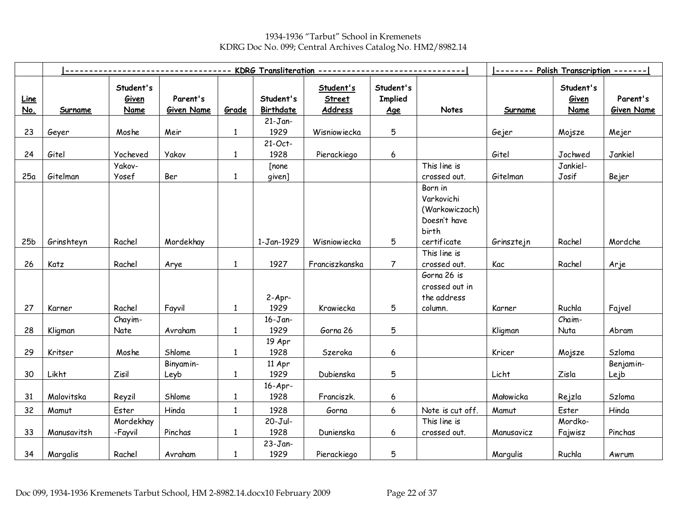1934-1936 "Tarbut" School in Kremenets KDRG Doc No. 099; Central Archives Catalog No. HM2/8982.14

|                    |                |                                   |                               |              |                        | -------- KDRG Transliteration -------------  |                                           |                                                                  |                |                                   |                               |
|--------------------|----------------|-----------------------------------|-------------------------------|--------------|------------------------|----------------------------------------------|-------------------------------------------|------------------------------------------------------------------|----------------|-----------------------------------|-------------------------------|
| <b>Line</b><br>No. | <b>Surname</b> | Student's<br>Given<br><b>Name</b> | Parent's<br><b>Given Name</b> | Grade        | Student's<br>Birthdate | Student's<br><b>Street</b><br><b>Address</b> | Student's<br><b>Implied</b><br><u>Age</u> | Notes                                                            | <b>Surname</b> | Student's<br>Given<br><b>Name</b> | Parent's<br><b>Given Name</b> |
|                    |                |                                   |                               |              | $21 - Jan-$            |                                              |                                           |                                                                  |                |                                   |                               |
| 23                 | Geyer          | Moshe                             | Meir                          | $\mathbf{1}$ | 1929                   | Wisniowiecka                                 | 5                                         |                                                                  | Gejer          | Mojsze                            | Mejer                         |
|                    |                |                                   |                               |              | 21-Oct-                |                                              |                                           |                                                                  |                |                                   |                               |
| 24                 | Gitel          | Yocheved                          | <b>Yakov</b>                  | $\mathbf{1}$ | 1928                   | Pierackiego                                  | 6                                         |                                                                  | Gitel          | Jochwed                           | Jankiel                       |
|                    |                | Yakov-                            |                               |              | [none                  |                                              |                                           | This line is                                                     |                | Jankiel-                          |                               |
| 25a                | Gitelman       | Yosef                             | Ber                           | $\mathbf{1}$ | given]                 |                                              |                                           | crossed out.                                                     | Gitelman       | Josif                             | Bejer                         |
|                    |                |                                   |                               |              |                        |                                              |                                           | Born in<br>Varkovichi<br>(Warkowiczach)<br>Doesn't have<br>birth |                |                                   |                               |
| 25 <sub>b</sub>    | Grinshteyn     | Rachel                            | Mordekhay                     |              | 1-Jan-1929             | Wisniowiecka                                 | 5                                         | certificate                                                      | Grinsztejn     | Rachel                            | Mordche                       |
|                    |                |                                   |                               |              |                        |                                              |                                           | This line is                                                     |                |                                   |                               |
| 26                 | Katz           | Rachel                            | Arye                          | $\mathbf{1}$ | 1927                   | Franciszkanska                               | $\overline{7}$                            | crossed out.                                                     | Kac            | Rachel                            | Arje                          |
|                    |                |                                   |                               |              | $2-Apr-$               |                                              |                                           | Gorna 26 is<br>crossed out in<br>the address                     |                |                                   |                               |
| 27                 | Karner         | Rachel                            | Fayvil                        | $\mathbf{1}$ | 1929                   | Krawiecka                                    | 5                                         | column.                                                          | Karner         | Ruchla                            | Fajvel                        |
|                    |                | Chayim-                           |                               |              | $16 - Jan-$            |                                              |                                           |                                                                  |                | Chaim-                            |                               |
| 28                 | Kligman        | Nate                              | Avraham                       | $\mathbf{1}$ | 1929                   | Gorna 26                                     | 5                                         |                                                                  | Kligman        | Nuta                              | Abram                         |
| 29                 | Kritser        | Moshe                             | Shlome                        | $\mathbf{1}$ | 19 Apr<br>1928         |                                              | 6                                         |                                                                  |                |                                   | Szloma                        |
|                    |                |                                   |                               |              |                        | Szeroka                                      |                                           |                                                                  | Kricer         | Mojsze                            |                               |
| 30                 | Likht          | Zisil                             | Binyamin-<br>Leyb             | $\mathbf{1}$ | 11 Apr<br>1929         | Dubienska                                    | 5                                         |                                                                  | Licht          | Zisla                             | Benjamin-<br>Lejb             |
|                    |                |                                   |                               |              | $16-Apr-$              |                                              |                                           |                                                                  |                |                                   |                               |
| 31                 | Malovitska     | Reyzil                            | Shlome                        | $\mathbf{1}$ | 1928                   | Franciszk.                                   | 6                                         |                                                                  | Małowicka      | Rejzla                            | Szloma                        |
| 32                 | Mamut          | Ester                             | Hinda                         | $\mathbf{1}$ | 1928                   | Gorna                                        | 6                                         | Note is cut off.                                                 | Mamut          | Ester                             | Hinda                         |
|                    |                | Mordekhay                         |                               |              | 20-Jul-                |                                              |                                           | This line is                                                     |                | Mordko-                           |                               |
| 33                 | Manusavitsh    | -Fayvil                           | Pinchas                       | $\mathbf{1}$ | 1928                   | Dunienska                                    | 6                                         | crossed out.                                                     | Manusavicz     | Fajwisz                           | Pinchas                       |
|                    |                |                                   |                               |              | $23 - Jan-$            |                                              |                                           |                                                                  |                |                                   |                               |
| 34                 | Margalis       | Rachel                            | Avraham                       | $\mathbf{1}$ | 1929                   | Pierackiego                                  | 5                                         |                                                                  | Margulis       | Ruchla                            | Awrum                         |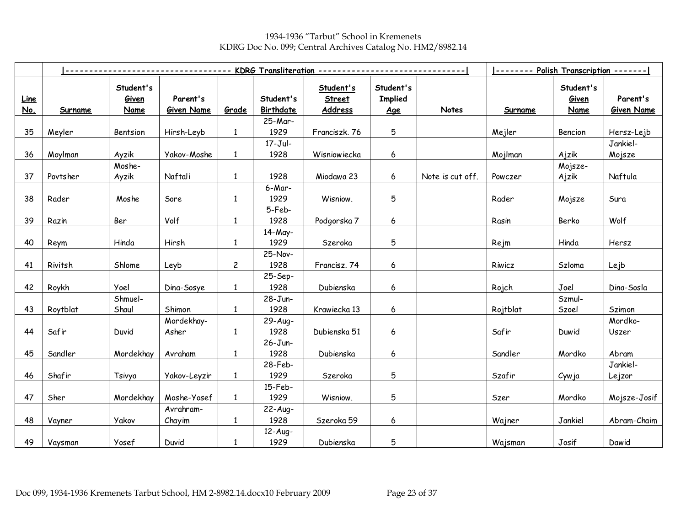1934-1936 "Tarbut" School in Kremenets KDRG Doc No. 099; Central Archives Catalog No. HM2/8982.14

|                           |                |                                   |                               |                | KDRG Transliteration ---------- |                                       |                                           |                  |                |                                   |                               |
|---------------------------|----------------|-----------------------------------|-------------------------------|----------------|---------------------------------|---------------------------------------|-------------------------------------------|------------------|----------------|-----------------------------------|-------------------------------|
| <b>Line</b><br><u>No.</u> | <b>Surname</b> | Student's<br>Given<br><b>Name</b> | Parent's<br><b>Given Name</b> | Grade          | Student's<br><b>Birthdate</b>   | Student's<br><b>Street</b><br>Address | Student's<br><b>Implied</b><br><u>Age</u> | Notes            | <b>Surname</b> | Student's<br>Given<br><b>Name</b> | Parent's<br><b>Given Name</b> |
|                           |                |                                   |                               |                | 25-Mar-                         |                                       |                                           |                  |                |                                   |                               |
| 35                        | Meyler         | Bentsion                          | Hirsh-Leyb                    | $\mathbf{1}$   | 1929                            | Franciszk. 76                         | 5                                         |                  | Mejler         | Bencion                           | Hersz-Lejb                    |
|                           |                |                                   |                               |                | $17 - Jul -$                    |                                       |                                           |                  |                |                                   | Jankiel-                      |
| 36                        | Moylman        | Ayzik                             | Yakov-Moshe                   | $\mathbf{1}$   | 1928                            | Wisniowiecka                          | 6                                         |                  | Mojlman        | Ajzik                             | Mojsze                        |
|                           |                | Moshe-                            |                               |                |                                 |                                       |                                           |                  |                | Mojsze-                           |                               |
| 37                        | Povtsher       | Ayzik                             | Naftali                       | $\mathbf{1}$   | 1928                            | Miodawa 23                            | 6                                         | Note is cut off. | Powczer        | Ajzik                             | Naftula                       |
|                           |                |                                   |                               |                | 6-Mar-                          |                                       |                                           |                  |                |                                   |                               |
| 38                        | Rader          | Moshe                             | Sore                          | $\mathbf{1}$   | 1929                            | Wisniow.                              | 5                                         |                  | Rader          | Mojsze                            | Sura                          |
|                           |                |                                   |                               |                | 5-Feb-                          |                                       |                                           |                  |                |                                   |                               |
| 39                        | Razin          | Ber                               | Volf                          | $\mathbf{1}$   | 1928                            | Podgorska 7                           | 6                                         |                  | Rasin          | Berko                             | Wolf                          |
|                           |                |                                   |                               |                | 14-May-                         |                                       |                                           |                  |                |                                   |                               |
| 40                        | Reym           | Hinda                             | Hirsh                         | $\mathbf{1}$   | 1929                            | Szeroka                               | 5                                         |                  | Rejm           | Hinda                             | Hersz                         |
|                           |                |                                   |                               |                | 25-Nov-                         |                                       |                                           |                  |                |                                   |                               |
| 41                        | Rivitsh        | Shlome                            | Leyb                          | $\overline{c}$ | 1928                            | Francisz. 74                          | 6                                         |                  | Riwicz         | Szloma                            | Lejb                          |
|                           |                |                                   |                               |                | 25-Sep-                         |                                       |                                           |                  |                |                                   |                               |
| 42                        | Roykh          | Yoel                              | Dina-Sosye                    | $\mathbf{1}$   | 1928                            | Dubienska                             | 6                                         |                  | Rojch          | Joel                              | Dina-Sosla                    |
|                           |                | Shmuel-                           |                               |                | 28-Jun-                         |                                       |                                           |                  |                | Szmul-                            |                               |
| 43                        | Roytblat       | Shaul                             | Shimon                        | $\mathbf{1}$   | 1928                            | Krawiecka 13                          | 6                                         |                  | Rojtblat       | Szoel                             | Szimon                        |
|                           |                |                                   | Mordekhay-                    |                | 29-Aug-                         |                                       |                                           |                  |                |                                   | Mordko-                       |
| 44                        | Safir          | Duvid                             | Asher                         | $\mathbf{1}$   | 1928                            | Dubienska 51                          | 6                                         |                  | Safir          | Duwid                             | Uszer                         |
|                           |                |                                   |                               |                | $26 - Jun -$                    |                                       |                                           |                  |                |                                   |                               |
| 45                        | Sandler        | Mordekhay                         | Avraham                       | $\mathbf{1}$   | 1928                            | Dubienska                             | 6                                         |                  | Sandler        | Mordko                            | Abram                         |
|                           |                |                                   |                               |                | 28-Feb-                         |                                       |                                           |                  |                |                                   | Jankiel-                      |
| 46                        | Shafir         | Tsivya                            | Yakov-Leyzir                  | $\mathbf{1}$   | 1929                            | Szeroka                               | 5                                         |                  | Szafir         | Cywja                             | Lejzor                        |
|                           |                |                                   |                               |                | $15$ -Feb-                      |                                       |                                           |                  |                |                                   |                               |
| 47                        | Sher           | Mordekhay                         | Moshe-Yosef                   | $\mathbf{1}$   | 1929                            | Wisniow.                              | 5                                         |                  | Szer           | Mordko                            | Mojsze-Josif                  |
|                           |                |                                   | Avrahram-                     |                | $22-Auq-$                       |                                       |                                           |                  |                |                                   |                               |
| 48                        | Vayner         | Yakov                             | Chayim                        | 1              | 1928                            | Szeroka 59                            | 6                                         |                  | Wajner         | Jankiel                           | Abram-Chaim                   |
|                           |                |                                   |                               |                | $12-Auq-$                       |                                       |                                           |                  |                |                                   |                               |
| 49                        | Vaysman        | Yosef                             | Duvid                         | $\mathbf{1}$   | 1929                            | Dubienska                             | 5                                         |                  | Wajsman        | Josif                             | Dawid                         |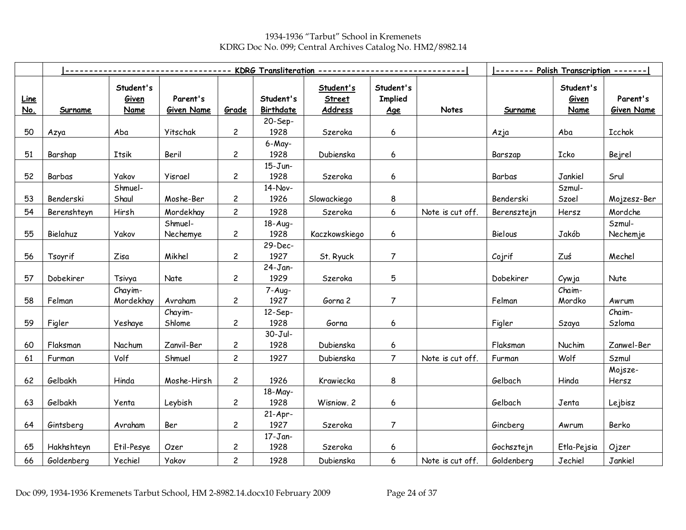1934-1936 "Tarbut" School in Kremenets KDRG Doc No. 099; Central Archives Catalog No. HM2/8982.14

|                    |             |                            |                               | -------------- KDRG Transliteration -------------- |                               |                                       |                                    |                  | -------- Polish Transcription ------- |                                   |                               |
|--------------------|-------------|----------------------------|-------------------------------|----------------------------------------------------|-------------------------------|---------------------------------------|------------------------------------|------------------|---------------------------------------|-----------------------------------|-------------------------------|
| <b>Line</b><br>No. | Surname     | Student's<br>Given<br>Name | Parent's<br><b>Given Name</b> | Grade                                              | Student's<br><b>Birthdate</b> | Student's<br><b>Street</b><br>Address | Student's<br><b>Implied</b><br>Age | Notes            | <b>Surname</b>                        | Student's<br>Given<br><b>Name</b> | Parent's<br><b>Given Name</b> |
|                    |             |                            |                               |                                                    | 20-Sep-                       |                                       |                                    |                  |                                       |                                   |                               |
| 50                 | Azya        | Aba                        | Yitschak                      | $\overline{c}$                                     | 1928                          | Szeroka                               | 6                                  |                  | Azja                                  | Aba                               | Icchok                        |
|                    |             |                            |                               |                                                    | 6-May-                        |                                       |                                    |                  |                                       |                                   |                               |
| 51                 | Barshap     | Itsik                      | Beril                         | $\overline{c}$                                     | 1928                          | Dubienska                             | 6                                  |                  | Barszap                               | Icko                              | Bejrel                        |
|                    |             |                            |                               |                                                    | $15 - Jun -$                  |                                       |                                    |                  |                                       |                                   |                               |
| 52                 | Barbas      | <b>Yakov</b>               | Yisrael                       | $\overline{c}$                                     | 1928                          | Szeroka                               | 6                                  |                  | Barbas                                | Jankiel                           | Srul                          |
|                    |             | Shmuel-                    |                               |                                                    | 14-Nov-                       |                                       |                                    |                  |                                       | Szmul-                            |                               |
| 53                 | Benderski   | Shaul                      | Moshe-Ber                     | 2                                                  | 1926                          | Slowackiego                           | 8                                  |                  | Benderski                             | Szoel                             | Mojzesz-Ber                   |
| 54                 | Berenshteyn | Hirsh                      | Mordekhay                     | $\overline{c}$                                     | 1928                          | Szeroka                               | 6                                  | Note is cut off. | Berensztejn                           | Hersz                             | Mordche                       |
|                    |             |                            | Shmuel-                       |                                                    | 18-Aug-                       |                                       |                                    |                  |                                       |                                   | Szmul-                        |
| 55                 | Bielahuz    | Yakov                      | Nechemye                      | $\overline{c}$                                     | 1928                          | Kaczkowskiego                         | 6                                  |                  | Bielous                               | Jakób                             | Nechemje                      |
|                    |             |                            |                               |                                                    | 29-Dec-                       |                                       |                                    |                  |                                       |                                   |                               |
| 56                 | Tsoyrif     | Zisa                       | Mikhel                        | $\overline{c}$                                     | 1927                          | St. Ryuck                             | 7                                  |                  | Cojrif                                | Zuś                               | Mechel                        |
|                    |             |                            |                               |                                                    | $24-Jan-$                     |                                       |                                    |                  |                                       |                                   |                               |
| 57                 | Dobekirer   | Tsivya                     | Nate                          | $\overline{c}$                                     | 1929                          | Szeroka                               | 5                                  |                  | Dobekirer                             | Cywja                             | Nute                          |
|                    |             | Chayim-                    |                               |                                                    | $7 - Aug -$                   |                                       |                                    |                  |                                       | Chaim-                            |                               |
| 58                 | Felman      | Mordekhay                  | Avraham                       | $\overline{c}$                                     | 1927                          | Gorna 2                               | $\overline{7}$                     |                  | Felman                                | Mordko                            | Awrum                         |
|                    |             |                            | Chayim-                       |                                                    | $12-Sep-$                     |                                       |                                    |                  |                                       |                                   | Chaim-                        |
| 59                 | Figler      | Yeshaye                    | Shlome                        | $\overline{c}$                                     | 1928                          | Gorna                                 | 6                                  |                  | Figler                                | Szaya                             | Szloma                        |
| 60                 | Flaksman    | Nachum                     | Zanvil-Ber                    | $\overline{c}$                                     | $30 - Jul -$<br>1928          | Dubienska                             | 6                                  |                  | Flaksman                              | Nuchim                            | Zanwel-Ber                    |
|                    |             |                            |                               |                                                    |                               |                                       | $\overline{7}$                     |                  |                                       |                                   |                               |
| 61                 | Furman      | Volf                       | Shmuel                        | $\overline{c}$                                     | 1927                          | Dubienska                             |                                    | Note is cut off. | Furman                                | Wolf                              | Szmul                         |
| 62                 | Gelbakh     | Hinda                      | Moshe-Hirsh                   | $\overline{c}$                                     | 1926                          | Krawiecka                             | 8                                  |                  | Gelbach                               | Hinda                             | Mojsze-<br>Hersz              |
|                    |             |                            |                               |                                                    | 18-May-                       |                                       |                                    |                  |                                       |                                   |                               |
| 63                 | Gelbakh     | Yenta                      | Leybish                       | $\overline{c}$                                     | 1928                          | Wisniow. 2                            | 6                                  |                  | Gelbach                               | Jenta                             | Lejbisz                       |
|                    |             |                            |                               |                                                    | $21-Apr-$                     |                                       |                                    |                  |                                       |                                   |                               |
| 64                 | Gintsberg   | Avraham                    | Ber                           | $\overline{c}$                                     | 1927                          | Szeroka                               | $\overline{7}$                     |                  | Gincberg                              | Awrum                             | Berko                         |
|                    |             |                            |                               |                                                    | $17 - Jan-$                   |                                       |                                    |                  |                                       |                                   |                               |
| 65                 | Hakhshteyn  | Etil-Pesye                 | Ozer                          | 2                                                  | 1928                          | Szeroka                               | 6                                  |                  | Gochsztejn                            | Etla-Pejsia                       | Ojzer                         |
| 66                 | Goldenberg  | Yechiel                    | <b>Yakov</b>                  | $\overline{c}$                                     | 1928                          | Dubienska                             | 6                                  | Note is cut off. | Goldenberg                            | Jechiel                           | Jankiel                       |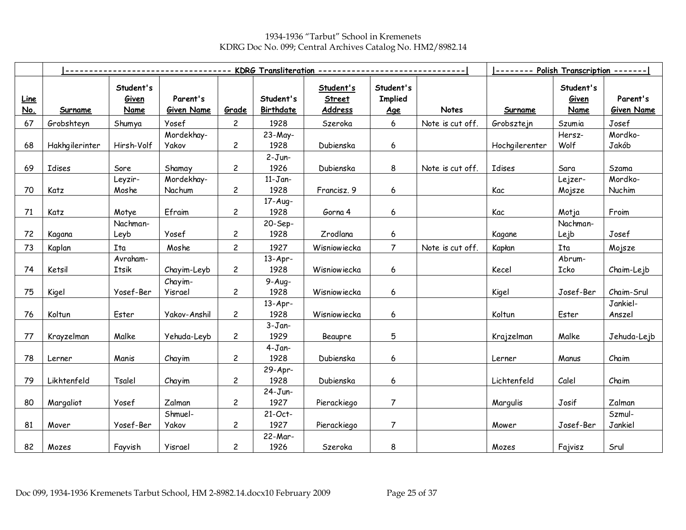1934-1936 "Tarbut" School in Kremenets KDRG Doc No. 099; Central Archives Catalog No. HM2/8982.14

|                    |                |                            | ---------------               |                | KDRG Transliteration --------------- |                                       |                                           |                  |                |                                   |                               |
|--------------------|----------------|----------------------------|-------------------------------|----------------|--------------------------------------|---------------------------------------|-------------------------------------------|------------------|----------------|-----------------------------------|-------------------------------|
| <b>Line</b><br>No. | Surname        | Student's<br>Given<br>Name | Parent's<br><b>Given Name</b> | Grade          | Student's<br>Birthdate               | Student's<br><b>Street</b><br>Address | Student's<br><b>Implied</b><br><u>Age</u> | Notes            | Surname        | Student's<br>Given<br><b>Name</b> | Parent's<br><b>Given Name</b> |
| 67                 | Grobshteyn     | Shumya                     | Yosef                         | $\overline{c}$ | 1928                                 | Szeroka                               | $6\,$                                     | Note is cut off. | Grobsztejn     | Szumia                            | Josef                         |
|                    |                |                            | Mordekhay-                    |                | 23-May-                              |                                       |                                           |                  |                | Hersz-                            | Mordko-                       |
| 68                 | Hakhgilerinter | Hirsh-Volf                 | <b>Yakov</b>                  | $\mathbf{2}$   | 1928                                 | Dubienska                             | 6                                         |                  | Hochgilerenter | Wolf                              | Jakób                         |
|                    |                |                            |                               |                | $2-Jun-$                             |                                       |                                           |                  |                |                                   |                               |
| 69                 | Idises         | Sore                       | Shamay                        | $\overline{c}$ | 1926                                 | Dubienska                             | 8                                         | Note is cut off. | Idises         | Sara                              | Szama                         |
|                    |                | Leyzir-                    | Mordekhay-                    |                | $11 - Jan-$                          |                                       |                                           |                  |                | Lejzer-                           | Mordko-                       |
| 70                 | Katz           | Moshe                      | Nachum                        | $\overline{c}$ | 1928                                 | Francisz. 9                           | 6                                         |                  | Kac            | Mojsze                            | Nuchim                        |
|                    |                |                            |                               |                | 17-Aug-                              |                                       |                                           |                  |                |                                   |                               |
| 71                 | Katz           | Motye                      | Efraim                        | $\overline{c}$ | 1928                                 | Gorna 4                               | 6                                         |                  | Kac            | Motja                             | Froim                         |
|                    |                | Nachman-                   |                               |                | 20-Sep-                              |                                       |                                           |                  |                | Nachman-                          |                               |
| 72                 | Kagana         | Leyb                       | Yosef                         | $\overline{c}$ | 1928                                 | Zrodlana                              | 6                                         |                  | Kagane         | Lejb                              | Josef                         |
| 73                 | Kaplan         | Ita                        | Moshe                         | $\overline{c}$ | 1927                                 | <b>Wisniowiecka</b>                   | $\overline{7}$                            | Note is cut off. | Kapłan         | Ita                               | Mojsze                        |
|                    |                | Avraham-                   |                               |                | $13-Apr-$                            |                                       |                                           |                  |                | Abrum-                            |                               |
| 74                 | Ketsil         | Itsik                      | Chayim-Leyb                   | $\mathbf{2}$   | 1928                                 | Wisniowiecka                          | 6                                         |                  | Kecel          | Icko                              | Chaim-Lejb                    |
|                    |                |                            | Chayim-                       |                | $9-Aug-$                             |                                       |                                           |                  |                |                                   |                               |
| 75                 | Kigel          | Yosef-Ber                  | Yisrael                       | $\overline{c}$ | 1928                                 | Wisniowiecka                          | 6                                         |                  | Kigel          | Josef-Ber                         | Chaim-Srul                    |
|                    |                |                            |                               |                | $13-Apr-$                            |                                       |                                           |                  |                |                                   | Jankiel-                      |
| 76                 | Koltun         | Ester                      | Yakov-Anshil                  | $\overline{c}$ | 1928                                 | Wisniowiecka                          | 6                                         |                  | Koltun         | Ester                             | Anszel                        |
|                    |                |                            |                               |                | $3 - Jan-$                           |                                       |                                           |                  |                |                                   |                               |
| 77                 | Krayzelman     | Malke                      | Yehuda-Leyb                   | $\overline{c}$ | 1929                                 | Beaupre                               | 5                                         |                  | Krajzelman     | Malke                             | Jehuda-Lejb                   |
|                    |                |                            |                               |                | $4-Jan-$                             |                                       |                                           |                  |                |                                   |                               |
| 78                 | Lerner         | Manis                      | Chayim                        | $\mathbf{2}$   | 1928                                 | Dubienska                             | 6                                         |                  | Lerner         | Manus                             | Chaim                         |
|                    |                |                            |                               |                | 29-Apr-                              |                                       |                                           |                  |                |                                   |                               |
| 79                 | Likhtenfeld    | Tsalel                     | Chayim                        | $\overline{c}$ | 1928                                 | Dubienska                             | 6                                         |                  | Lichtenfeld    | Calel                             | Chaim                         |
|                    |                |                            |                               |                | $24-J$ un-                           |                                       |                                           |                  |                |                                   |                               |
| 80                 | Margaliot      | Yosef                      | Zalman                        | $\mathbf{2}$   | 1927                                 | Pierackiego                           | $\overline{7}$                            |                  | Marqulis       | Josif                             | Zalman                        |
|                    |                |                            | Shmuel-                       |                | 21-Oct-                              |                                       |                                           |                  |                |                                   | Szmul-                        |
| 81                 | Mover          | Yosef-Ber                  | Yakov                         | $\mathbf{2}$   | 1927                                 | Pierackiego                           | 7                                         |                  | Mower          | Josef-Ber                         | Jankiel                       |
|                    |                |                            |                               |                | 22-Mar-                              |                                       |                                           |                  |                |                                   |                               |
| 82                 | Mozes          | Fayvish                    | Yisrael                       | $\overline{c}$ | 1926                                 | Szeroka                               | 8                                         |                  | Mozes          | Fajvisz                           | Srul                          |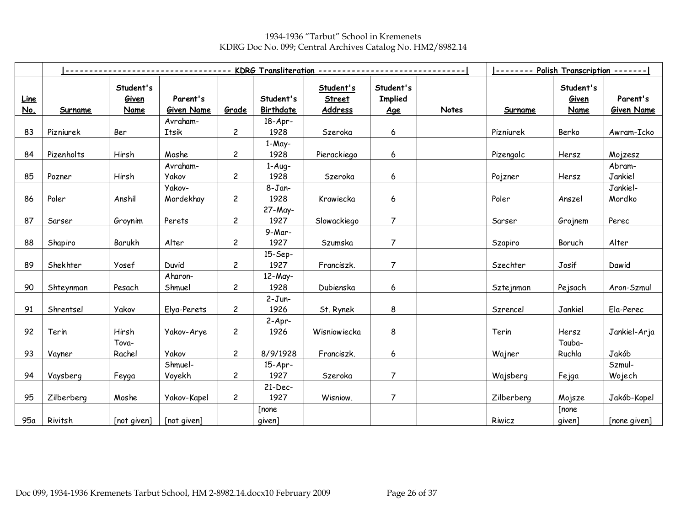1934-1936 "Tarbut" School in Kremenets KDRG Doc No. 099; Central Archives Catalog No. HM2/8982.14

|                           |                |                            |                               | KDRG Transliteration ------------- |                        |                                       |                                    |              | -------- Polish Transcription ------- |                                   |                               |
|---------------------------|----------------|----------------------------|-------------------------------|------------------------------------|------------------------|---------------------------------------|------------------------------------|--------------|---------------------------------------|-----------------------------------|-------------------------------|
| <u>Line</u><br><u>No.</u> | <b>Surname</b> | Student's<br>Given<br>Name | Parent's<br><b>Given Name</b> | Grade                              | Student's<br>Birthdate | Student's<br><b>Street</b><br>Address | Student's<br><b>Implied</b><br>Age | <b>Notes</b> | Surname                               | Student's<br>Given<br><b>Name</b> | Parent's<br><b>Given Name</b> |
|                           |                |                            | Avraham-                      |                                    | $18-Apr-$              |                                       |                                    |              |                                       |                                   |                               |
| 83                        | Pizniurek      | Ber                        | Itsik                         | $\mathbf{2}$                       | 1928                   | Szeroka                               | 6                                  |              | Pizniurek                             | Berko                             | Awram-Icko                    |
| 84                        | Pizenholts     | Hirsh                      | Moshe                         | $\overline{c}$                     | 1-May-<br>1928         | Pierackiego                           | 6                                  |              | Pizengolc                             | Hersz                             | Mojzesz                       |
|                           |                |                            | Avraham-                      |                                    | $1-Auq-$               |                                       |                                    |              |                                       |                                   | Abram-                        |
| 85                        | Pozner         | Hirsh                      | <b>Yakov</b>                  | $\overline{c}$                     | 1928                   | Szeroka                               | 6                                  |              | Pojzner                               | Hersz                             | Jankiel                       |
| 86                        | Poler          | Anshil                     | Yakov-<br>Mordekhay           | $\overline{c}$                     | $8 - Jan-$<br>1928     | Krawiecka                             | 6                                  |              | Poler                                 | Anszel                            | Jankiel-<br>Mordko            |
|                           |                |                            |                               |                                    | 27-May-                |                                       |                                    |              |                                       |                                   |                               |
| 87                        | Sarser         | Groynim                    | Perets                        | $\overline{c}$                     | 1927                   | Slowackiego                           | $\overline{7}$                     |              | Sarser                                | Grojnem                           | Perec                         |
| 88                        | Shapiro        | Barukh                     | Alter                         | $\mathbf{2}$                       | 9-Mar-<br>1927         | Szumska                               | 7                                  |              | Szapiro                               | Boruch                            | Alter                         |
| 89                        | Shekhter       | Yosef                      | Duvid                         | $\mathbf{2}$                       | 15-Sep-<br>1927        | Franciszk.                            | $\overline{7}$                     |              | Szechter                              | Josif                             | Dawid                         |
| 90                        | Shteynman      | Pesach                     | Aharon-<br>Shmuel             | $\overline{c}$                     | 12-May-<br>1928        | Dubienska                             | 6                                  |              | Sztejnman                             | Pejsach                           | Aron-Szmul                    |
| 91                        | Shrentsel      | <b>Yakov</b>               | Elya-Perets                   | $\overline{c}$                     | $2-Jun-$<br>1926       | St. Rynek                             | 8                                  |              | Szrencel                              | Jankiel                           | Ela-Perec                     |
| 92                        | Terin          | Hirsh                      | Yakov-Arye                    | $\overline{c}$                     | $2-Apr-$<br>1926       | Wisniowiecka                          | 8                                  |              | Terin                                 | Hersz                             | Jankiel-Arja                  |
| 93                        | Vayner         | Tova-<br>Rachel            | <b>Yakov</b>                  | $\overline{c}$                     | 8/9/1928               | Franciszk.                            | 6                                  |              | Wajner                                | Tauba-<br>Ruchla                  | Jakób                         |
|                           |                |                            | Shmuel-                       |                                    | $15-Apr-$              |                                       |                                    |              |                                       |                                   | Szmul-                        |
| 94                        | Vaysberg       | Feyga                      | Voyekh                        | $\overline{c}$                     | 1927                   | Szeroka                               | $\overline{7}$                     |              | Wajsberg                              | Fejga                             | Wojech                        |
| 95                        | Zilberberg     | Moshe                      | Yakov-Kapel                   | $\overline{c}$                     | $21-Dec-$<br>1927      | Wisniow.                              | $\overline{7}$                     |              | Zilberberg                            | Mojsze                            | Jakób-Kopel                   |
|                           |                |                            |                               |                                    | [none                  |                                       |                                    |              |                                       | [none                             |                               |
| 95α                       | Rivitsh        | [not given]                | [not given]                   |                                    | given]                 |                                       |                                    |              | Riwicz                                | given]                            | [none given]                  |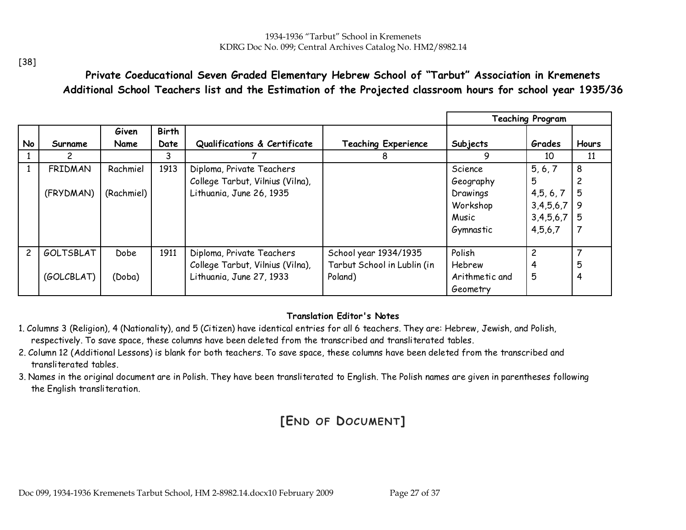Private Coeducational Seven Graded Elementary Hebrew School of "Tarbut" Association in Kremenets Additional School Teachers list and the Estimation of the Projected classroom hours for school year 1935/36

|                |                |               |                      |                                  |                             |                | <b>Teaching Program</b> |              |
|----------------|----------------|---------------|----------------------|----------------------------------|-----------------------------|----------------|-------------------------|--------------|
| No             | Surname        | Given<br>Name | <b>Birth</b><br>Date | Qualifications & Certificate     | <b>Teaching Experience</b>  | Subjects       | Grades                  | <b>Hours</b> |
|                | $\mathcal{P}$  |               | 3                    |                                  | 8                           | 9              | 10                      | 11           |
|                | <b>FRIDMAN</b> | Rachmiel      | 1913                 | Diploma, Private Teachers        |                             | Science        | 5, 6, 7                 | 8            |
|                |                |               |                      | College Tarbut, Vilnius (Vilna), |                             | Geography      | 5                       |              |
|                | (FRYDMAN)      | (Rachmiel)    |                      | Lithuania, June 26, 1935         |                             | Drawings       | 4, 5, 6, 7              | 5            |
|                |                |               |                      |                                  |                             | Workshop       | $3,4,5,6,7$ 9           |              |
|                |                |               |                      |                                  |                             | Music          | $3,4,5,6,7$ 5           |              |
|                |                |               |                      |                                  |                             | Gymnastic      | 4,5,6,7                 |              |
|                |                |               |                      |                                  |                             |                |                         |              |
| $\overline{c}$ | GOLTSBLAT      | <b>Dobe</b>   | 1911                 | Diploma, Private Teachers        | School year 1934/1935       | Polish         | 2                       |              |
|                |                |               |                      | College Tarbut, Vilnius (Vilna), | Tarbut School in Lublin (in | Hebrew         |                         | 5            |
|                | (GOLCBLAT)     | (Doba)        |                      | Lithuania, June 27, 1933         | Poland)                     | Arithmetic and | 5                       |              |
|                |                |               |                      |                                  |                             | Geometry       |                         |              |

#### Translation Editor's Notes

- 1. Columns 3 (Religion), 4 (Nationality), and 5 (Citizen) have identical entries for all 6 teachers. They are: Hebrew, Jewish, and Polish, respectively. To save space, these columns have been deleted from the transcribed and transliterated tables.
- 2. Column 12 (Additional Lessons) is blank for both teachers. To save space, these columns have been deleted from the transcribed and transliterated tables.
- 3. Names in the original document are in Polish. They have been transliterated to English. The Polish names are given in parentheses following the English transliteration.

# [END OF DOCUMENT]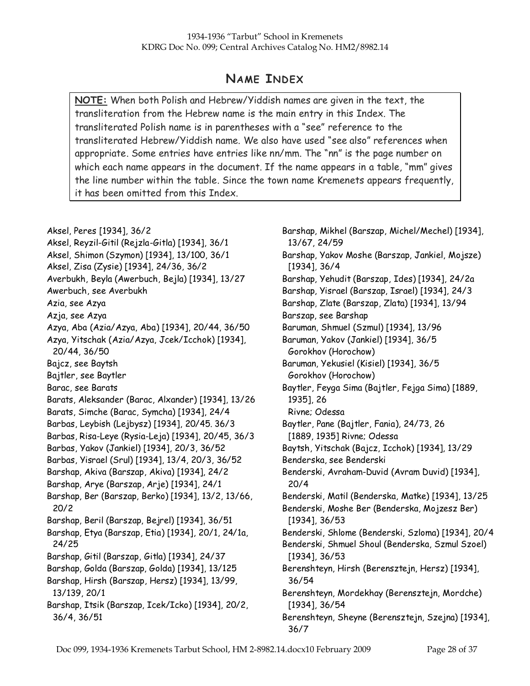# NAME INDEX

NOTE: When both Polish and Hebrew/Yiddish names are given in the text, the transliteration from the Hebrew name is the main entry in this Index. The transliterated Polish name is in parentheses with a "see" reference to the transliterated Hebrew/Yiddish name. We also have used "see also" references when appropriate. Some entries have entries like nn/mm. The "nn" is the page number on which each name appears in the document. If the name appears in a table, "mm" gives the line number within the table. Since the town name Kremenets appears frequently, it has been omitted from this Index.

Aksel, Peres [1934], 36/2 Aksel, Reyzil-Gitil (Rejzla-Gitla) [1934], 36/1 Aksel, Shimon (Szymon) [1934], 13/100, 36/1 Aksel, Zisa (Zysie) [1934], 24/36, 36/2 Averbukh, Beyla (Awerbuch, Bejla) [1934], 13/27 Awerbuch, see Averbukh Azia, see Azya Azja, see Azya Azya, Aba (Azia/Azya, Aba) [1934], 20/44, 36/50 Azya, Yitschak (Azia/Azya, Jcek/Icchok) [1934], 20/44, 36/50 Bajcz, see Baytsh Bajtler, see Baytler Barac, see Barats Barats, Aleksander (Barac, Alxander) [1934], 13/26 Barats, Simche (Barac, Symcha) [1934], 24/4 Barbas, Leybish (Lejbysz) [1934], 20/45. 36/3 Barbas, Risa-Leye (Rysia-Leja) [1934], 20/45, 36/3 Barbas, Yakov (Jankiel) [1934], 20/3, 36/52 Barbas, Yisrael (Srul) [1934], 13/4, 20/3, 36/52 Barshap, Akiva (Barszap, Akiva) [1934], 24/2 Barshap, Arye (Barszap, Arje) [1934], 24/1 Barshap, Ber (Barszap, Berko) [1934], 13/2, 13/66, 20/2 Barshap, Beril (Barszap, Bejrel) [1934], 36/51 Barshap, Etya (Barszap, Etia) [1934], 20/1, 24/1a, 24/25 Barshap, Gitil (Barszap, Gitla) [1934], 24/37 Barshap, Golda (Barszap, Golda) [1934], 13/125 Barshap, Hirsh (Barszap, Hersz) [1934], 13/99, 13/139, 20/1 Barshap, Itsik (Barszap, Icek/Icko) [1934], 20/2, 36/4, 36/51

Barshap, Mikhel (Barszap, Michel/Mechel) [1934], 13/67, 24/59 Barshap, Yakov Moshe (Barszap, Jankiel, Mojsze) [1934], 36/4 Barshap, Yehudit (Barszap, Ides) [1934], 24/2a Barshap, Yisrael (Barszap, Israel) [1934], 24/3 Barshap, Zlate (Barszap, Zlata) [1934], 13/94 Barszap, see Barshap Baruman, Shmuel (Szmul) [1934], 13/96 Baruman, Yakov (Jankiel) [1934], 36/5 Gorokhov (Horochow) Baruman, Yekusiel (Kisiel) [1934], 36/5 Gorokhov (Horochow) Baytler, Feyga Sima (Bajtler, Fejga Sima) [1889, 1935], 26 Rivne; Odessa Baytler, Pane (Bajtler, Fania), 24/73, 26 [1889, 1935] Rivne; Odessa Baytsh, Yitschak (Bajcz, Icchok) [1934], 13/29 Benderska, see Benderski Benderski, Avraham-Duvid (Avram Duvid) [1934], 20/4 Benderski, Matil (Benderska, Matke) [1934], 13/25 Benderski, Moshe Ber (Benderska, Mojzesz Ber) [1934], 36/53 Benderski, Shlome (Benderski, Szloma) [1934], 20/4 Benderski, Shmuel Shoul (Benderska, Szmul Szoel) [1934], 36/53 Berenshteyn, Hirsh (Berensztejn, Hersz) [1934], 36/54 Berenshteyn, Mordekhay (Berensztejn, Mordche) [1934], 36/54 Berenshteyn, Sheyne (Berensztejn, Szejna) [1934], 36/7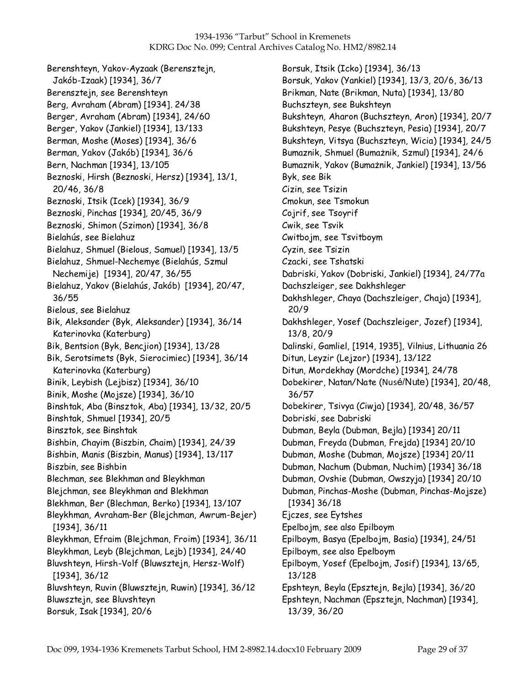Berenshteyn, Yakov-Ayzaak (Berensztejn, Jakób-Izaak) [1934], 36/7 Berensztejn, see Berenshteyn Berg, Avraham (Abram) [1934]. 24/38 Berger, Avraham (Abram) [1934], 24/60 Berger, Yakov (Jankiel) [1934], 13/133 Berman, Moshe (Moses) [1934], 36/6 Berman, Yakov (Jakób) [1934], 36/6 Bern, Nachman [1934], 13/105 Beznoski, Hirsh (Beznoski, Hersz) [1934], 13/1, 20/46, 36/8 Beznoski, Itsik (Icek) [1934], 36/9 Beznoski, Pinchas [1934], 20/45, 36/9 Beznoski, Shimon (Szimon) [1934], 36/8 Bielahús, see Bielahuz Bielahuz, Shmuel (Bielous, Samuel) [1934], 13/5 Bielahuz, Shmuel-Nechemye (Bielahús, Szmul Nechemije) [1934], 20/47, 36/55 Bielahuz, Yakov (Bielahús, Jakób) [1934], 20/47, 36/55 Bielous, see Bielahuz Bik, Aleksander (Byk, Aleksander) [1934], 36/14 Katerinovka (Katerburg) Bik, Bentsion (Byk, Bencjion) [1934], 13/28 Bik, Serotsimets (Byk, Sierocimiec) [1934], 36/14 Katerinovka (Katerburg) Binik, Leybish (Lejbisz) [1934], 36/10 Binik, Moshe (Mojsze) [1934], 36/10 Binshtak, Aba (Binsztok, Aba) [1934], 13/32, 20/5 Binshtak, Shmuel [1934], 20/5 Binsztok, see Binshtak Bishbin, Chayim (Biszbin, Chaim) [1934], 24/39 Bishbin, Manis (Biszbin, Manus) [1934], 13/117 Biszbin, see Bishbin Blechman, see Blekhman and Bleykhman Blejchman, see Bleykhman and Blekhman Blekhman, Ber (Blechman, Berko) [1934], 13/107 Bleykhman, Avraham-Ber (Blejchman, Awrum-Bejer) [1934], 36/11 Bleykhman, Efraim (Blejchman, Froim) [1934], 36/11 Bleykhman, Leyb (Blejchman, Lejb) [1934], 24/40 Bluvshteyn, Hirsh-Volf (Bluwsztejn, Hersz-Wolf) [1934], 36/12 Bluvshteyn, Ruvin (Bluwsztejn, Ruwin) [1934], 36/12 Bluwsztejn, see Bluvshteyn Borsuk, Isak [1934], 20/6

Borsuk, Itsik (Icko) [1934], 36/13 Borsuk, Yakov (Yankiel) [1934], 13/3, 20/6, 36/13 Brikman, Nate (Brikman, Nuta) [1934], 13/80 Buchszteyn, see Bukshteyn Bukshteyn, Aharon (Buchszteyn, Aron) [1934], 20/7 Bukshteyn, Pesye (Buchszteyn, Pesia) [1934], 20/7 Bukshteyn, Vitsya (Buchszteyn, Wicia) [1934], 24/5 Bumaznik, Shmuel (Bumażnik, Szmul) [1934], 24/6 Bumaznik, Yakov (Bumażnik, Jankiel) [1934], 13/56 Byk, see Bik Cizin, see Tsizin Cmokun, see Tsmokun Cojrif, see Tsoyrif Cwik, see Tsvik Cwitbojm, see Tsvitboym Cyzin, see Tsizin Czacki, see Tshatski Dabriski, Yakov (Dobriski, Jankiel) [1934], 24/77a Dachszleiger, see Dakhshleger Dakhshleger, Chaya (Dachszleiger, Chaja) [1934], 20/9 Dakhshleger, Yosef (Dachszleiger, Jozef) [1934], 13/8, 20/9 Dalinski, Gamliel, [1914, 1935], Vilnius, Lithuania 26 Ditun, Leyzir (Lejzor) [1934], 13/122 Ditun, Mordekhay (Mordche) [1934], 24/78 Dobekirer, Natan/Nate (Nusé/Nute) [1934], 20/48, 36/57 Dobekirer, Tsivya (Ciwja) [1934], 20/48, 36/57 Dobriski, see Dabriski Dubman, Beyla (Dubman, Bejla) [1934] 20/11 Dubman, Freyda (Dubman, Frejda) [1934] 20/10 Dubman, Moshe (Dubman, Mojsze) [1934] 20/11 Dubman, Nachum (Dubman, Nuchim) [1934] 36/18 Dubman, Ovshie (Dubman, Owszyja) [1934] 20/10 Dubman, Pinchas-Moshe (Dubman, Pinchas-Mojsze) [1934] 36/18 Ejczes, see Eytshes Epelbojm, see also Epilboym Epilboym, Basya (Epelbojm, Basia) [1934], 24/51 Epilboym, see also Epelboym Epilboym, Yosef (Epelbojm, Josif) [1934], 13/65, 13/128 Epshteyn, Beyla (Epsztejn, Bejla) [1934], 36/20 Epshteyn, Nachman (Epsztejn, Nachman) [1934], 13/39, 36/20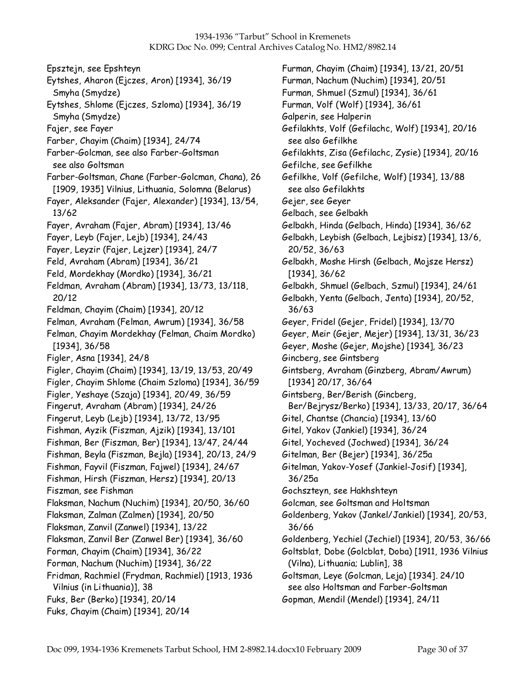Epsztejn, see Epshteyn Eytshes, Aharon (Ejczes, Aron) [1934], 36/19 Smyha (Smydze) Eytshes, Shlome (Ejczes, Szloma) [1934], 36/19 Smyha (Smydze) Fajer, see Fayer Farber, Chayim (Chaim) [1934], 24/74 Farber-Golcman, see also Farber-Goltsman see also Goltsman Farber-Goltsman, Chane (Farber-Golcman, Chana), 26 [1909, 1935] Vilnius, Lithuania, Solomna (Belarus) Fayer, Aleksander (Fajer, Alexander) [1934], 13/54, 13/62 Fayer, Avraham (Fajer, Abram) [1934], 13/46 Fayer, Leyb (Fajer, Lejb) [1934], 24/43 Fayer, Leyzir (Fajer, Lejzer) [1934], 24/7 Feld, Avraham (Abram) [1934], 36/21 Feld, Mordekhay (Mordko) [1934], 36/21 Feldman, Avraham (Abram) [1934], 13/73, 13/118, 20/12 Feldman, Chayim (Chaim) [1934], 20/12 Felman, Avraham (Felman, Awrum) [1934], 36/58 Felman, Chayim Mordekhay (Felman, Chaim Mordko) [1934], 36/58 Figler, Asna [1934], 24/8 Figler, Chayim (Chaim) [1934], 13/19, 13/53, 20/49 Figler, Chayim Shlome (Chaim Szloma) [1934], 36/59 Figler, Yeshaye (Szaja) [1934], 20/49, 36/59 Fingerut, Avraham (Abram) [1934], 24/26 Fingerut, Leyb (Lejb) [1934], 13/72, 13/95 Fishman, Ayzik (Fiszman, Ajzik) [1934], 13/101 Fishman, Ber (Fiszman, Ber) [1934], 13/47, 24/44 Fishman, Beyla (Fiszman, Bejla) [1934], 20/13, 24/9 Fishman, Fayvil (Fiszman, Fajwel) [1934], 24/67 Fishman, Hirsh (Fiszman, Hersz) [1934], 20/13 Fiszman, see Fishman Flaksman, Nachum (Nuchim) [1934], 20/50, 36/60 Flaksman, Zalman (Zalmen) [1934], 20/50 Flaksman, Zanvil (Zanwel) [1934], 13/22 Flaksman, Zanvil Ber (Zanwel Ber) [1934], 36/60 Forman, Chayim (Chaim) [1934], 36/22 Forman, Nachum (Nuchim) [1934], 36/22 Fridman, Rachmiel (Frydman, Rachmiel) [1913, 1936 Vilnius (in Lithuania)], 38 Fuks, Ber (Berko) [1934], 20/14 Fuks, Chayim (Chaim) [1934], 20/14

Furman, Chayim (Chaim) [1934], 13/21, 20/51 Furman, Nachum (Nuchim) [1934], 20/51 Furman, Shmuel (Szmul) [1934], 36/61 Furman, Volf (Wolf) [1934], 36/61 Galperin, see Halperin Gefilakhts, Volf (Gefilachc, Wolf) [1934], 20/16 see also Gefilkhe Gefilakhts, Zisa (Gefilachc, Zysie) [1934], 20/16 Gefilche, see Gefilkhe Gefilkhe, Volf (Gefilche, Wolf) [1934], 13/88 see also Gefilakhts Gejer, see Geyer Gelbach, see Gelbakh Gelbakh, Hinda (Gelbach, Hinda) [1934], 36/62 Gelbakh, Leybish (Gelbach, Lejbisz) [1934], 13/6, 20/52, 36/63 Gelbakh, Moshe Hirsh (Gelbach, Mojsze Hersz) [1934], 36/62 Gelbakh, Shmuel (Gelbach, Szmul) [1934], 24/61 Gelbakh, Yenta (Gelbach, Jenta) [1934], 20/52, 36/63 Geyer, Fridel (Gejer, Fridel) [1934], 13/70 Geyer, Meir (Gejer, Mejer) [1934], 13/31, 36/23 Geyer, Moshe (Gejer, Mojshe) [1934], 36/23 Gincberg, see Gintsberg Gintsberg, Avraham (Ginzberg, Abram/Awrum) [1934] 20/17, 36/64 Gintsberg, Ber/Berish (Gincberg, Ber/Bejrysz/Berko) [1934], 13/33, 20/17, 36/64 Gitel, Chantse (Chancia) [1934], 13/60 Gitel, Yakov (Jankiel) [1934], 36/24 Gitel, Yocheved (Jochwed) [1934], 36/24 Gitelman, Ber (Bejer) [1934], 36/25a Gitelman, Yakov-Yosef (Jankiel-Josif) [1934], 36/25a Gochszteyn, see Hakhshteyn Golcman, see Goltsman and Holtsman Goldenberg, Yakov (Jankel/Jankiel) [1934], 20/53, 36/66 Goldenberg, Yechiel (Jechiel) [1934], 20/53, 36/66 Goltsblat, Dobe (Golcblat, Doba) [1911, 1936 Vilnius (Vilna), Lithuania; Lublin], 38 Goltsman, Leye (Golcman, Leja) [1934]. 24/10 see also Holtsman and Farber-Goltsman Gopman, Mendil (Mendel) [1934], 24/11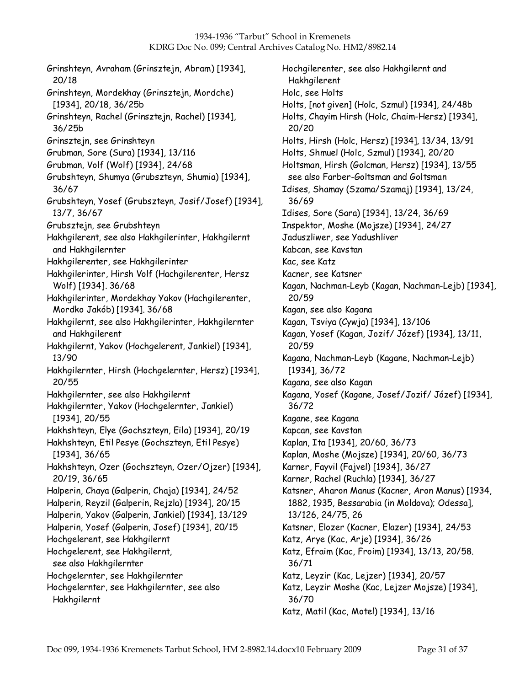Grinshteyn, Avraham (Grinsztejn, Abram) [1934], 20/18 Grinshteyn, Mordekhay (Grinsztejn, Mordche) [1934], 20/18, 36/25b Grinshteyn, Rachel (Grinsztejn, Rachel) [1934], 36/25b Grinsztejn, see Grinshteyn Grubman, Sore (Sura) [1934], 13/116 Grubman, Volf (Wolf) [1934], 24/68 Grubshteyn, Shumya (Grubszteyn, Shumia) [1934], 36/67 Grubshteyn, Yosef (Grubszteyn, Josif/Josef) [1934], 13/7, 36/67 Grubsztejn, see Grubshteyn Hakhgilerent, see also Hakhgilerinter, Hakhgilernt and Hakhgilernter Hakhgilerenter, see Hakhgilerinter Hakhgilerinter, Hirsh Volf (Hachgilerenter, Hersz Wolf) [1934]. 36/68 Hakhgilerinter, Mordekhay Yakov (Hachgilerenter, Mordko Jakób) [1934]. 36/68 Hakhgilernt, see also Hakhgilerinter, Hakhgilernter and Hakhgilerent Hakhgilernt, Yakov (Hochgelerent, Jankiel) [1934], 13/90 Hakhgilernter, Hirsh (Hochgelernter, Hersz) [1934], 20/55 Hakhgilernter, see also Hakhgilernt Hakhgilernter, Yakov (Hochgelernter, Jankiel) [1934], 20/55 Hakhshteyn, Elye (Gochszteyn, Eila) [1934], 20/19 Hakhshteyn, Etil Pesye (Gochszteyn, Etil Pesye) [1934], 36/65 Hakhshteyn, Ozer (Gochszteyn, Ozer/Ojzer) [1934], 20/19, 36/65 Halperin, Chaya (Galperin, Chaja) [1934], 24/52 Halperin, Reyzil (Galperin, Rejzla) [1934], 20/15 Halperin, Yakov (Galperin, Jankiel) [1934], 13/129 Halperin, Yosef (Galperin, Josef) [1934], 20/15 Hochgelerent, see Hakhgilernt Hochgelerent, see Hakhgilernt, see also Hakhgilernter Hochgelernter, see Hakhgilernter Hochgelernter, see Hakhgilernter, see also Hakhgilernt

Hochgilerenter, see also Hakhgilernt and Hakhgilerent Holc, see Holts Holts, [not given] (Holc, Szmul) [1934], 24/48b Holts, Chayim Hirsh (Holc, Chaim-Hersz) [1934], 20/20 Holts, Hirsh (Holc, Hersz) [1934], 13/34, 13/91 Holts, Shmuel (Holc, Szmul) [1934], 20/20 Holtsman, Hirsh (Golcman, Hersz) [1934], 13/55 see also Farber-Goltsman and Goltsman Idises, Shamay (Szama/Szamaj) [1934], 13/24, 36/69 Idises, Sore (Sara) [1934], 13/24, 36/69 Inspektor, Moshe (Mojsze) [1934], 24/27 Jaduszliwer, see Yadushliver Kabcan, see Kavstan Kac, see Katz Kacner, see Katsner Kagan, Nachman-Leyb (Kagan, Nachman-Lejb) [1934], 20/59 Kagan, see also Kagana Kagan, Tsviya (Cywja) [1934], 13/106 Kagan, Yosef (Kagan, Jozif/ Józef) [1934], 13/11, 20/59 Kagana, Nachman-Leyb (Kagane, Nachman-Lejb) [1934], 36/72 Kagana, see also Kagan Kagana, Yosef (Kagane, Josef/Jozif/ Józef) [1934], 36/72 Kagane, see Kagana Kapcan, see Kavstan Kaplan, Ita [1934], 20/60, 36/73 Kaplan, Moshe (Mojsze) [1934], 20/60, 36/73 Karner, Fayvil (Fajvel) [1934], 36/27 Karner, Rachel (Ruchla) [1934], 36/27 Katsner, Aharon Manus (Kacner, Aron Manus) [1934, 1882, 1935, Bessarabia (in Moldova); Odessa], 13/126, 24/75, 26 Katsner, Elozer (Kacner, Elazer) [1934], 24/53 Katz, Arye (Kac, Arje) [1934], 36/26 Katz, Efraim (Kac, Froim) [1934], 13/13, 20/58. 36/71 Katz, Leyzir (Kac, Lejzer) [1934], 20/57 Katz, Leyzir Moshe (Kac, Lejzer Mojsze) [1934], 36/70 Katz, Matil (Kac, Motel) [1934], 13/16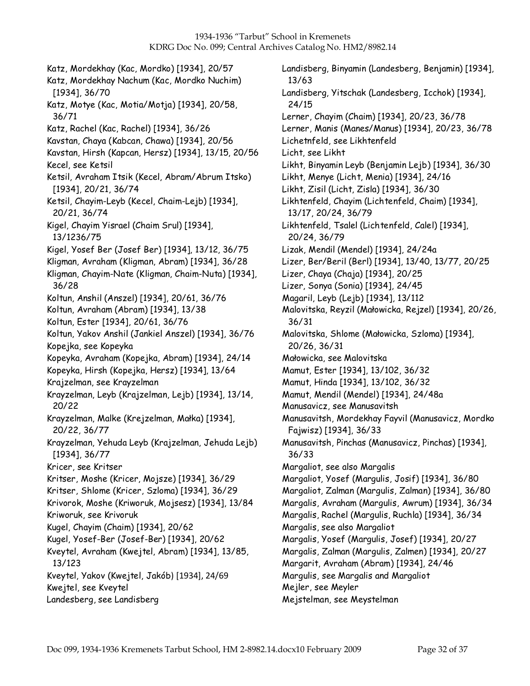Katz, Mordekhay (Kac, Mordko) [1934], 20/57 Katz, Mordekhay Nachum (Kac, Mordko Nuchim) [1934], 36/70 Katz, Motye (Kac, Motia/Motja) [1934], 20/58, 36/71 Katz, Rachel (Kac, Rachel) [1934], 36/26 Kavstan, Chaya (Kabcan, Chawa) [1934], 20/56 Kavstan, Hirsh (Kapcan, Hersz) [1934], 13/15, 20/56 Kecel, see Ketsil Ketsil, Avraham Itsik (Kecel, Abram/Abrum Itsko) [1934], 20/21, 36/74 Ketsil, Chayim-Leyb (Kecel, Chaim-Lejb) [1934], 20/21, 36/74 Kigel, Chayim Yisrael (Chaim Srul) [1934], 13/1236/75 Kigel, Yosef Ber (Josef Ber) [1934], 13/12, 36/75 Kligman, Avraham (Kligman, Abram) [1934], 36/28 Kligman, Chayim-Nate (Kligman, Chaim-Nuta) [1934], 36/28 Koltun, Anshil (Anszel) [1934], 20/61, 36/76 Koltun, Avraham (Abram) [1934], 13/38 Koltun, Ester [1934], 20/61, 36/76 Koltun, Yakov Anshil (Jankiel Anszel) [1934], 36/76 Kopejka, see Kopeyka Kopeyka, Avraham (Kopejka, Abram) [1934], 24/14 Kopeyka, Hirsh (Kopejka, Hersz) [1934], 13/64 Krajzelman, see Krayzelman Krayzelman, Leyb (Krajzelman, Lejb) [1934], 13/14, 20/22 Krayzelman, Malke (Krejzelman, Małka) [1934], 20/22, 36/77 Krayzelman, Yehuda Leyb (Krajzelman, Jehuda Lejb) [1934], 36/77 Kricer, see Kritser Kritser, Moshe (Kricer, Mojsze) [1934], 36/29 Kritser, Shlome (Kricer, Szloma) [1934], 36/29 Krivorok, Moshe (Kriworuk, Mojsesz) [1934], 13/84 Kriworuk, see Krivoruk Kugel, Chayim (Chaim) [1934], 20/62 Kugel, Yosef-Ber (Josef-Ber) [1934], 20/62 Kveytel, Avraham (Kwejtel, Abram) [1934], 13/85, 13/123 Kveytel, Yakov (Kwejtel, Jakób) [1934], 24/69 Kwejtel, see Kveytel Landesberg, see Landisberg

Landisberg, Binyamin (Landesberg, Benjamin) [1934], 13/63 Landisberg, Yitschak (Landesberg, Icchok) [1934], 24/15 Lerner, Chayim (Chaim) [1934], 20/23, 36/78 Lerner, Manis (Manes/Manus) [1934], 20/23, 36/78 Lichetnfeld, see Likhtenfeld Licht, see Likht Likht, Binyamin Leyb (Benjamin Lejb) [1934], 36/30 Likht, Menye (Licht, Menia) [1934], 24/16 Likht, Zisil (Licht, Zisla) [1934], 36/30 Likhtenfeld, Chayim (Lichtenfeld, Chaim) [1934], 13/17, 20/24, 36/79 Likhtenfeld, Tsalel (Lichtenfeld, Calel) [1934], 20/24, 36/79 Lizak, Mendil (Mendel) [1934], 24/24a Lizer, Ber/Beril (Berl) [1934], 13/40, 13/77, 20/25 Lizer, Chaya (Chaja) [1934], 20/25 Lizer, Sonya (Sonia) [1934], 24/45 Magaril, Leyb (Lejb) [1934], 13/112 Malovitska, Reyzil (Małowicka, Rejzel) [1934], 20/26, 36/31 Malovitska, Shlome (Małowicka, Szloma) [1934], 20/26, 36/31 Małowicka, see Malovitska Mamut, Ester [1934], 13/102, 36/32 Mamut, Hinda [1934], 13/102, 36/32 Mamut, Mendil (Mendel) [1934], 24/48a Manusavicz, see Manusavitsh Manusavitsh, Mordekhay Fayvil (Manusavicz, Mordko Fajwisz) [1934], 36/33 Manusavitsh, Pinchas (Manusavicz, Pinchas) [1934], 36/33 Margaliot, see also Margalis Margaliot, Yosef (Margulis, Josif) [1934], 36/80 Margaliot, Zalman (Margulis, Zalman) [1934], 36/80 Margalis, Avraham (Margulis, Awrum) [1934], 36/34 Margalis, Rachel (Margulis, Ruchla) [1934], 36/34 Margalis, see also Margaliot Margalis, Yosef (Margulis, Josef) [1934], 20/27 Margalis, Zalman (Margulis, Zalmen) [1934], 20/27 Margarit, Avraham (Abram) [1934], 24/46 Margulis, see Margalis and Margaliot Mejler, see Meyler Mejstelman, see Meystelman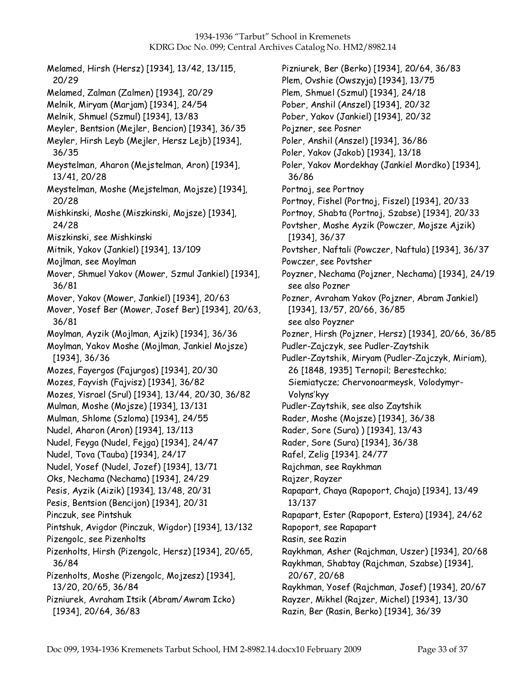Melamed, Hirsh (Hersz) [1934], 13/42, 13/115, 20/29 Melamed, Zalman (Zalmen) [1934], 20/29 Melnik, Miryam (Marjam) [1934], 24/54 Melnik, Shmuel (Szmul) [1934], 13/83 Meyler, Bentsion (Mejler, Bencion) [1934], 36/35 Meyler, Hirsh Leyb (Mejler, Hersz Lejb) [1934], 36/35 Meystelman, Aharon (Mejstelman, Aron) [1934], 13/41, 20/28 Meystelman, Moshe (Mejstelman, Mojsze) [1934], 20/28 Mishkinski, Moshe (Miszkinski, Mojsze) [1934], 24/28 Miszkinski, see Mishkinski Mitnik, Yakov (Jankiel) [1934], 13/109 Mojlman, see Moylman Mover, Shmuel Yakov (Mower, Szmul Jankiel) [1934], 36/81 Mover, Yakov (Mower, Jankiel) [1934], 20/63 Mover, Yosef Ber (Mower, Josef Ber) [1934], 20/63, 36/81 Moylman, Ayzik (Mojlman, Ajzik) [1934], 36/36 Moylman, Yakov Moshe (Mojlman, Jankiel Mojsze) [1934], 36/36 Mozes, Fayergos (Fajurgos) [1934], 20/30 Mozes, Fayvish (Fajvisz) [1934], 36/82 Mozes, Yisrael (Srul) [1934], 13/44, 20/30, 36/82 Mulman, Moshe (Mojsze) [1934], 13/131 Mulman, Shlome (Szloma) [1934], 24/55 Nudel, Aharon (Aron) [1934], 13/113 Nudel, Feyga (Nudel, Fejga) [1934], 24/47 Nudel, Tova (Tauba) [1934], 24/17 Nudel, Yosef (Nudel, Jozef) [1934], 13/71 Oks, Nechama (Nechama) [1934], 24/29 Pesis, Ayzik (Aizik) [1934], 13/48, 20/31 Pesis, Bentsion (Bencijon) [1934], 20/31 Pinczuk, see Pintshuk Pintshuk, Avigdor (Pinczuk, Wigdor) [1934], 13/132 Pizengolc, see Pizenholts Pizenholts, Hirsh (Pizengolc, Hersz) [1934], 20/65, 36/84 Pizenholts, Moshe (Pizengolc, Mojzesz) [1934], 13/20, 20/65, 36/84 Pizniurek, Avraham Itsik (Abram/Awram Icko) [1934], 20/64, 36/83

Pizniurek, Ber (Berko) [1934], 20/64, 36/83 Plem, Ovshie (Owszyja) [1934], 13/75 Plem, Shmuel (Szmul) [1934], 24/18 Pober, Anshil (Anszel) [1934], 20/32 Pober, Yakov (Jankiel) [1934], 20/32 Pojzner, see Posner Poler, Anshil (Anszel) [1934], 36/86 Poler, Yakov (Jakob) [1934], 13/18 Poler, Yakov Mordekhay (Jankiel Mordko) [1934], 36/86 Portnoj, see Portnoy Portnoy, Fishel (Portnoj, Fiszel) [1934], 20/33 Portnoy, Shabta (Portnoj, Szabse) [1934], 20/33 Povtsher, Moshe Ayzik (Powczer, Mojsze Ajzik) [1934], 36/37 Povtsher, Naftali (Powczer, Naftula) [1934], 36/37 Powczer, see Povtsher Poyzner, Nechama (Pojzner, Nechama) [1934], 24/19 see also Pozner Pozner, Avraham Yakov (Pojzner, Abram Jankiel) [1934], 13/57, 20/66, 36/85 see also Poyzner Pozner, Hirsh (Pojzner, Hersz) [1934], 20/66, 36/85 Pudler-Zajczyk, see Pudler-Zaytshik Pudler-Zaytshik, Miryam (Pudler-Zajczyk, Miriam), 26 [1848, 1935] Ternopil; Berestechko; Siemiatycze; Chervonoarmeysk, Volodymyr-Volyns'kyy Pudler-Zaytshik, see also Zaytshik Rader, Moshe (Mojsze) [1934], 36/38 Rader, Sore (Sura) ) [1934], 13/43 Rader, Sore (Sura) [1934], 36/38 Rafel, Zelig [1934]. 24/77 Rajchman, see Raykhman Rajzer, Rayzer Rapapart, Chaya (Rapoport, Chaja) [1934], 13/49 13/137 Rapapart, Ester (Rapoport, Estera) [1934], 24/62 Rapoport, see Rapapart Rasin, see Razin Raykhman, Asher (Rajchman, Uszer) [1934], 20/68 Raykhman, Shabtay (Rajchman, Szabse) [1934], 20/67, 20/68 Raykhman, Yosef (Rajchman, Josef) [1934], 20/67 Rayzer, Mikhel (Rajzer, Michel) [1934], 13/30 Razin, Ber (Rasin, Berko) [1934], 36/39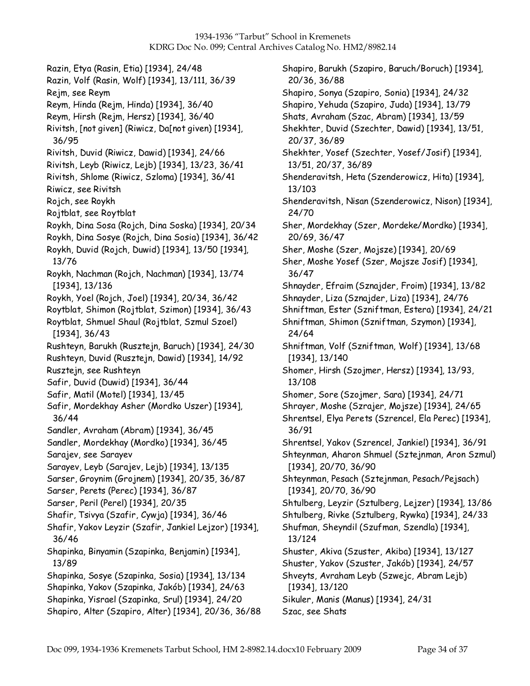Razin, Etya (Rasin, Etia) [1934], 24/48 Razin, Volf (Rasin, Wolf) [1934], 13/111, 36/39 Rejm, see Reym Reym, Hinda (Rejm, Hinda) [1934], 36/40 Reym, Hirsh (Rejm, Hersz) [1934], 36/40 Rivitsh, [not given] (Riwicz, Da[not given) [1934], 36/95 Rivitsh, Duvid (Riwicz, Dawid) [1934], 24/66 Rivitsh, Leyb (Riwicz, Lejb) [1934], 13/23, 36/41 Rivitsh, Shlome (Riwicz, Szloma) [1934], 36/41 Riwicz, see Rivitsh Rojch, see Roykh Rojtblat, see Roytblat Roykh, Dina Sosa (Rojch, Dina Soska) [1934], 20/34 Roykh, Dina Sosye (Rojch, Dina Sosia) [1934], 36/42 Roykh, Duvid (Rojch, Duwid) [1934], 13/50 [1934], 13/76 Roykh, Nachman (Rojch, Nachman) [1934], 13/74 [1934], 13/136 Roykh, Yoel (Rojch, Joel) [1934], 20/34, 36/42 Roytblat, Shimon (Rojtblat, Szimon) [1934], 36/43 Roytblat, Shmuel Shaul (Rojtblat, Szmul Szoel) [1934], 36/43 Rushteyn, Barukh (Rusztejn, Baruch) [1934], 24/30 Rushteyn, Duvid (Rusztejn, Dawid) [1934], 14/92 Rusztejn, see Rushteyn Safir, Duvid (Duwid) [1934], 36/44 Safir, Matil (Motel) [1934], 13/45 Safir, Mordekhay Asher (Mordko Uszer) [1934], 36/44 Sandler, Avraham (Abram) [1934], 36/45 Sandler, Mordekhay (Mordko) [1934], 36/45 Sarajev, see Sarayev Sarayev, Leyb (Sarajev, Lejb) [1934], 13/135 Sarser, Groynim (Grojnem) [1934], 20/35, 36/87 Sarser, Perets (Perec) [1934], 36/87 Sarser, Peril (Perel) [1934], 20/35 Shafir, Tsivya (Szafir, Cywja) [1934], 36/46 Shafir, Yakov Leyzir (Szafir, Jankiel Lejzor) [1934], 36/46 Shapinka, Binyamin (Szapinka, Benjamin) [1934], 13/89 Shapinka, Sosye (Szapinka, Sosia) [1934], 13/134 Shapinka, Yakov (Szapinka, Jakób) [1934], 24/63 Shapinka, Yisrael (Szapinka, Srul) [1934], 24/20 Shapiro, Alter (Szapiro, Alter) [1934], 20/36, 36/88

Shapiro, Barukh (Szapiro, Baruch/Boruch) [1934], 20/36, 36/88 Shapiro, Sonya (Szapiro, Sonia) [1934], 24/32 Shapiro, Yehuda (Szapiro, Juda) [1934], 13/79 Shats, Avraham (Szac, Abram) [1934], 13/59 Shekhter, Duvid (Szechter, Dawid) [1934], 13/51, 20/37, 36/89 Shekhter, Yosef (Szechter, Yosef/Josif) [1934], 13/51, 20/37, 36/89 Shenderavitsh, Heta (Szenderowicz, Hita) [1934], 13/103 Shenderavitsh, Nisan (Szenderowicz, Nison) [1934], 24/70 Sher, Mordekhay (Szer, Mordeke/Mordko) [1934], 20/69, 36/47 Sher, Moshe (Szer, Mojsze) [1934], 20/69 Sher, Moshe Yosef (Szer, Mojsze Josif) [1934], 36/47 Shnayder, Efraim (Sznajder, Froim) [1934], 13/82 Shnayder, Liza (Sznajder, Liza) [1934], 24/76 Shniftman, Ester (Szniftman, Estera) [1934], 24/21 Shniftman, Shimon (Szniftman, Szymon) [1934], 24/64 Shniftman, Volf (Szniftman, Wolf) [1934], 13/68 [1934], 13/140 Shomer, Hirsh (Szojmer, Hersz) [1934], 13/93, 13/108 Shomer, Sore (Szojmer, Sara) [1934], 24/71 Shrayer, Moshe (Szrajer, Mojsze) [1934], 24/65 Shrentsel, Elya Perets (Szrencel, Ela Perec) [1934], 36/91 Shrentsel, Yakov (Szrencel, Jankiel) [1934], 36/91 Shteynman, Aharon Shmuel (Sztejnman, Aron Szmul) [1934], 20/70, 36/90 Shteynman, Pesach (Sztejnman, Pesach/Pejsach) [1934], 20/70, 36/90 Shtulberg, Leyzir (Sztulberg, Lejzer) [1934], 13/86 Shtulberg, Rivke (Sztulberg, Rywka) [1934], 24/33 Shufman, Sheyndil (Szufman, Szendla) [1934], 13/124 Shuster, Akiva (Szuster, Akiba) [1934], 13/127 Shuster, Yakov (Szuster, Jakób) [1934], 24/57 Shveyts, Avraham Leyb (Szwejc, Abram Lejb) [1934], 13/120 Sikuler, Manis (Manus) [1934], 24/31 Szac, see Shats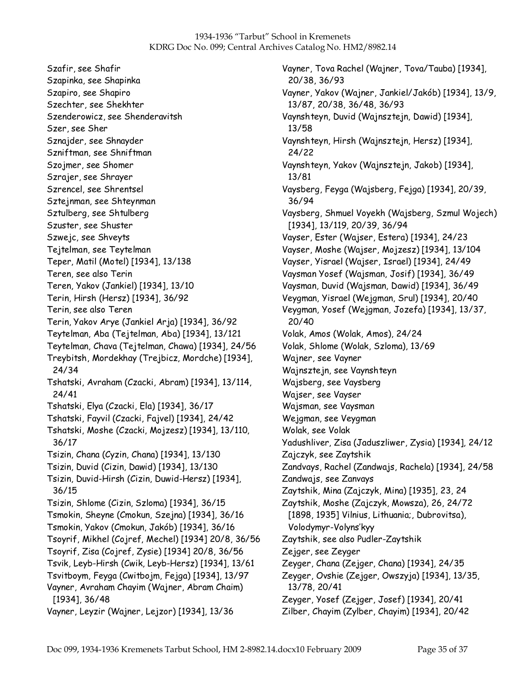Szafir, see Shafir Szapinka, see Shapinka Szapiro, see Shapiro Szechter, see Shekhter Szenderowicz, see Shenderavitsh Szer, see Sher Sznajder, see Shnayder Szniftman, see Shniftman Szojmer, see Shomer Szrajer, see Shrayer Szrencel, see Shrentsel Sztejnman, see Shteynman Sztulberg, see Shtulberg Szuster, see Shuster Szwejc, see Shveyts Tejtelman, see Teytelman Teper, Matil (Motel) [1934], 13/138 Teren, see also Terin Teren, Yakov (Jankiel) [1934], 13/10 Terin, Hirsh (Hersz) [1934], 36/92 Terin, see also Teren Terin, Yakov Arye (Jankiel Arja) [1934], 36/92 Teytelman, Aba (Tejtelman, Aba) [1934], 13/121 Teytelman, Chava (Tejtelman, Chawa) [1934], 24/56 Treybitsh, Mordekhay (Trejbicz, Mordche) [1934], 24/34 Tshatski, Avraham (Czacki, Abram) [1934], 13/114, 24/41 Tshatski, Elya (Czacki, Ela) [1934], 36/17 Tshatski, Fayvil (Czacki, Fajvel) [1934], 24/42 Tshatski, Moshe (Czacki, Mojzesz) [1934], 13/110, 36/17 Tsizin, Chana (Cyzin, Chana) [1934], 13/130 Tsizin, Duvid (Cizin, Dawid) [1934], 13/130 Tsizin, Duvid-Hirsh (Cizin, Duwid-Hersz) [1934], 36/15 Tsizin, Shlome (Cizin, Szloma) [1934], 36/15 Tsmokin, Sheyne (Cmokun, Szejna) [1934], 36/16 Tsmokin, Yakov (Cmokun, Jakób) [1934], 36/16 Tsoyrif, Mikhel (Cojref, Mechel) [1934] 20/8, 36/56 Tsoyrif, Zisa (Cojref, Zysie) [1934] 20/8, 36/56 Tsvik, Leyb-Hirsh (Cwik, Leyb-Hersz) [1934], 13/61 Tsvitboym, Feyga (Cwitbojm, Fejga) [1934], 13/97 Vayner, Avraham Chayim (Wajner, Abram Chaim) [1934], 36/48 Vayner, Leyzir (Wajner, Lejzor) [1934], 13/36

Vayner, Tova Rachel (Wajner, Tova/Tauba) [1934], 20/38, 36/93 Vayner, Yakov (Wajner, Jankiel/Jakób) [1934], 13/9, 13/87, 20/38, 36/48, 36/93 Vaynshteyn, Duvid (Wajnsztejn, Dawid) [1934], 13/58 Vaynshteyn, Hirsh (Wajnsztejn, Hersz) [1934], 24/22 Vaynshteyn, Yakov (Wajnsztejn, Jakob) [1934], 13/81 Vaysberg, Feyga (Wajsberg, Fejga) [1934], 20/39, 36/94 Vaysberg, Shmuel Voyekh (Wajsberg, Szmul Wojech) [1934], 13/119, 20/39, 36/94 Vayser, Ester (Wajser, Estera) [1934], 24/23 Vayser, Moshe (Wajser, Mojzesz) [1934], 13/104 Vayser, Yisrael (Wajser, Israel) [1934], 24/49 Vaysman Yosef (Wajsman, Josif) [1934], 36/49 Vaysman, Duvid (Wajsman, Dawid) [1934], 36/49 Veygman, Yisrael (Wejgman, Srul) [1934], 20/40 Veygman, Yosef (Wejgman, Jozefa) [1934], 13/37, 20/40 Volak, Amos (Wolak, Amos), 24/24 Volak, Shlome (Wolak, Szloma), 13/69 Wajner, see Vayner Wajnsztejn, see Vaynshteyn Wajsberg, see Vaysberg Wajser, see Vayser Wajsman, see Vaysman Wejgman, see Veygman Wolak, see Volak Yadushliver, Zisa (Jaduszliwer, Zysia) [1934], 24/12 Zajczyk, see Zaytshik Zandvays, Rachel (Zandwajs, Rachela) [1934], 24/58 Zandwajs, see Zanvays Zaytshik, Mina (Zajczyk, Mina) [1935], 23, 24 Zaytshik, Moshe (Zajczyk, Mowsza), 26, 24/72 [1898, 1935] Vilnius, Lithuania;, Dubrovitsa), Volodymyr-Volyns'kyy Zaytshik, see also Pudler-Zaytshik Zejger, see Zeyger Zeyger, Chana (Zejger, Chana) [1934], 24/35 Zeyger, Ovshie (Zejger, Owszyja) [1934], 13/35, 13/78, 20/41 Zeyger, Yosef (Zejger, Josef) [1934], 20/41 Zilber, Chayim (Zylber, Chayim) [1934], 20/42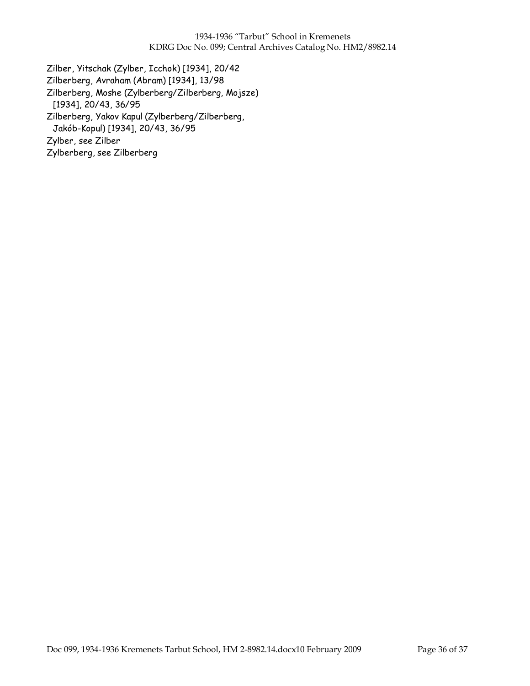Zilber, Yitschak (Zylber, Icchok) [1934], 20/42 Zilberberg, Avraham (Abram) [1934], 13/98 Zilberberg, Moshe (Zylberberg/Zilberberg, Mojsze) [1934], 20/43, 36/95 Zilberberg, Yakov Kapul (Zylberberg/Zilberberg, Jakób-Kopul) [1934], 20/43, 36/95 Zylber, see Zilber Zylberberg, see Zilberberg